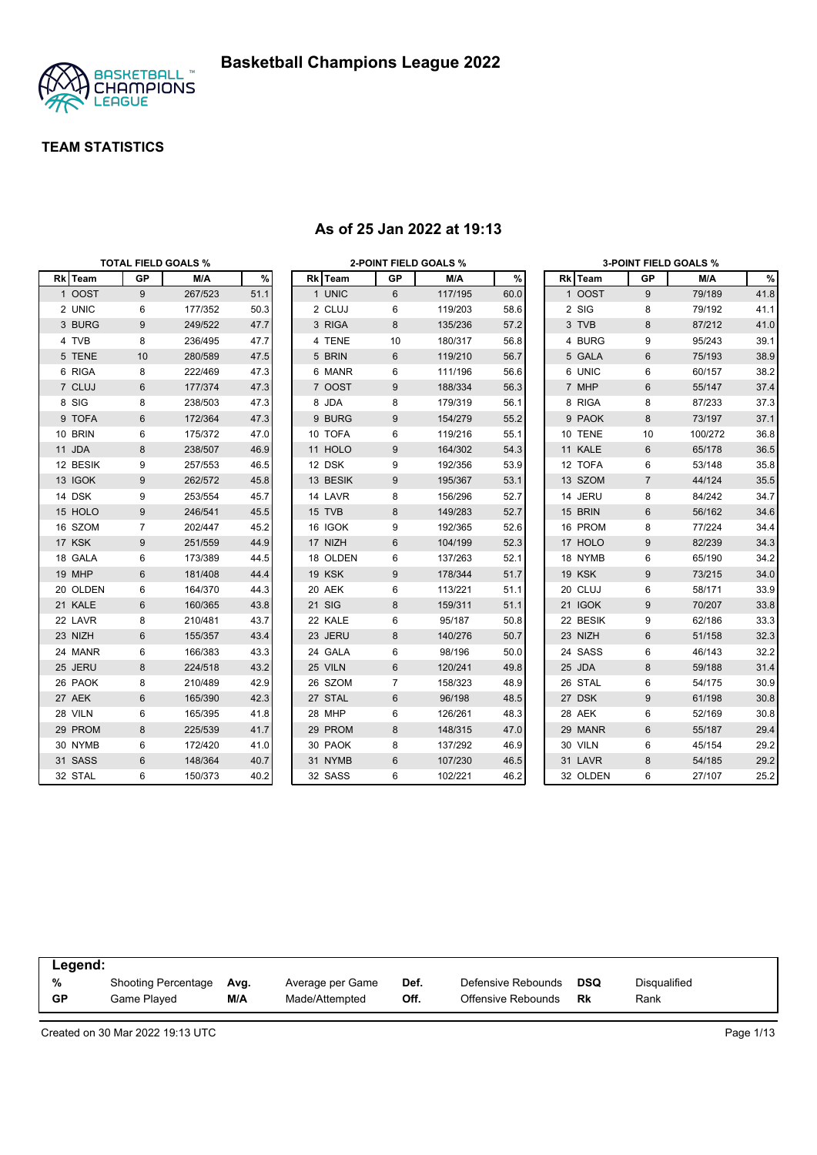

|          |                | <b>TOTAL FIELD GOALS %</b> |      |          |    | <b>2-POINT FIELD GOALS %</b> |      |          |                | <b>3-POINT FIELD GOALS %</b> |      |
|----------|----------------|----------------------------|------|----------|----|------------------------------|------|----------|----------------|------------------------------|------|
| Rk Team  | <b>GP</b>      | M/A                        | %    | Rk Team  | GP | M/A                          | $\%$ | Rk Team  | GP             | M/A                          | %    |
| 1 OOST   | 9              | 267/523                    | 51.1 | 1 UNIC   | 6  | 117/195                      | 60.0 | 1 OOST   | 9              | 79/189                       | 41.8 |
| 2 UNIC   | 6              | 177/352                    | 50.3 | 2 CLUJ   | 6  | 119/203                      | 58.6 | 2 SIG    | 8              | 79/192                       | 41.1 |
| 3 BURG   | 9              | 249/522                    | 47.7 | 3 RIGA   | 8  | 135/236                      | 57.2 | 3 TVB    | 8              | 87/212                       | 41.0 |
| 4 TVB    | 8              | 236/495                    | 47.7 | 4 TENE   | 10 | 180/317                      | 56.8 | 4 BURG   | 9              | 95/243                       | 39.1 |
| 5 TENE   | 10             | 280/589                    | 47.5 | 5 BRIN   | 6  | 119/210                      | 56.7 | 5 GALA   | $6\phantom{1}$ | 75/193                       | 38.9 |
| 6 RIGA   | 8              | 222/469                    | 47.3 | 6 MANR   | 6  | 111/196                      | 56.6 | 6 UNIC   | 6              | 60/157                       | 38.2 |
| 7 CLUJ   | 6              | 177/374                    | 47.3 | 7 OOST   | 9  | 188/334                      | 56.3 | 7 MHP    | $\,6$          | 55/147                       | 37.4 |
| 8 SIG    | 8              | 238/503                    | 47.3 | 8 JDA    | 8  | 179/319                      | 56.1 | 8 RIGA   | 8              | 87/233                       | 37.3 |
| 9 TOFA   | 6              | 172/364                    | 47.3 | 9 BURG   | 9  | 154/279                      | 55.2 | 9 PAOK   | 8              | 73/197                       | 37.1 |
| 10 BRIN  | 6              | 175/372                    | 47.0 | 10 TOFA  | 6  | 119/216                      | 55.1 | 10 TENE  | 10             | 100/272                      | 36.8 |
| 11 JDA   | 8              | 238/507                    | 46.9 | 11 HOLO  | 9  | 164/302                      | 54.3 | 11 KALE  | 6              | 65/178                       | 36.5 |
| 12 BESIK | 9              | 257/553                    | 46.5 | 12 DSK   | 9  | 192/356                      | 53.9 | 12 TOFA  | 6              | 53/148                       | 35.8 |
| 13 IGOK  | 9              | 262/572                    | 45.8 | 13 BESIK | 9  | 195/367                      | 53.1 | 13 SZOM  | $\overline{7}$ | 44/124                       | 35.5 |
| 14 DSK   | 9              | 253/554                    | 45.7 | 14 LAVR  | 8  | 156/296                      | 52.7 | 14 JERU  | 8              | 84/242                       | 34.7 |
| 15 HOLO  | 9              | 246/541                    | 45.5 | 15 TVB   | 8  | 149/283                      | 52.7 | 15 BRIN  | $\,6$          | 56/162                       | 34.6 |
| 16 SZOM  | $\overline{7}$ | 202/447                    | 45.2 | 16 IGOK  | 9  | 192/365                      | 52.6 | 16 PROM  | 8              | 77/224                       | 34.4 |
| 17 KSK   | 9              | 251/559                    | 44.9 | 17 NIZH  | 6  | 104/199                      | 52.3 | 17 HOLO  | 9              | 82/239                       | 34.3 |
| 18 GALA  | 6              | 173/389                    | 44.5 | 18 OLDEN | 6  | 137/263                      | 52.1 | 18 NYMB  | 6              | 65/190                       | 34.2 |
| 19 MHP   | 6              | 181/408                    | 44.4 | 19 KSK   | 9  | 178/344                      | 51.7 | 19 KSK   | 9              | 73/215                       | 34.0 |
| 20 OLDEN | 6              | 164/370                    | 44.3 | 20 AEK   | 6  | 113/221                      | 51.1 | 20 CLUJ  | 6              | 58/171                       | 33.9 |
| 21 KALE  | 6              | 160/365                    | 43.8 | 21 SIG   | 8  | 159/311                      | 51.1 | 21 IGOK  | 9              | 70/207                       | 33.8 |
| 22 LAVR  | 8              | 210/481                    | 43.7 | 22 KALE  | 6  | 95/187                       | 50.8 | 22 BESIK | 9              | 62/186                       | 33.3 |
| 23 NIZH  | 6              | 155/357                    | 43.4 | 23 JERU  | 8  | 140/276                      | 50.7 | 23 NIZH  | $\,6$          | 51/158                       | 32.3 |
| 24 MANR  | 6              | 166/383                    | 43.3 | 24 GALA  | 6  | 98/196                       | 50.0 | 24 SASS  | 6              | 46/143                       | 32.2 |
| 25 JERU  | 8              | 224/518                    | 43.2 | 25 VILN  | 6  | 120/241                      | 49.8 | 25 JDA   | 8              | 59/188                       | 31.4 |
| 26 PAOK  | 8              | 210/489                    | 42.9 | 26 SZOM  | 7  | 158/323                      | 48.9 | 26 STAL  | 6              | 54/175                       | 30.9 |
| 27 AEK   | 6              | 165/390                    | 42.3 | 27 STAL  | 6  | 96/198                       | 48.5 | 27 DSK   | 9              | 61/198                       | 30.8 |
| 28 VILN  | 6              | 165/395                    | 41.8 | 28 MHP   | 6  | 126/261                      | 48.3 | 28 AEK   | 6              | 52/169                       | 30.8 |
| 29 PROM  | 8              | 225/539                    | 41.7 | 29 PROM  | 8  | 148/315                      | 47.0 | 29 MANR  | $\,6$          | 55/187                       | 29.4 |
| 30 NYMB  | 6              | 172/420                    | 41.0 | 30 PAOK  | 8  | 137/292                      | 46.9 | 30 VILN  | 6              | 45/154                       | 29.2 |
| 31 SASS  | 6              | 148/364                    | 40.7 | 31 NYMB  | 6  | 107/230                      | 46.5 | 31 LAVR  | 8              | 54/185                       | 29.2 |
| 32 STAL  | 6              | 150/373                    | 40.2 | 32 SASS  | 6  | 102/221                      | 46.2 | 32 OLDEN | 6              | 27/107                       | 25.2 |

#### **As of 25 Jan 2022 at 19:13**

| Legend:   |                            |      |                  |      |                    |            |              |
|-----------|----------------------------|------|------------------|------|--------------------|------------|--------------|
| %         | <b>Shooting Percentage</b> | Avg. | Average per Game | Def. | Defensive Rebounds | <b>DSQ</b> | Disqualified |
| <b>GP</b> | Game Played                | M/A  | Made/Attempted   | Off. | Offensive Rebounds | Rk         | Rank         |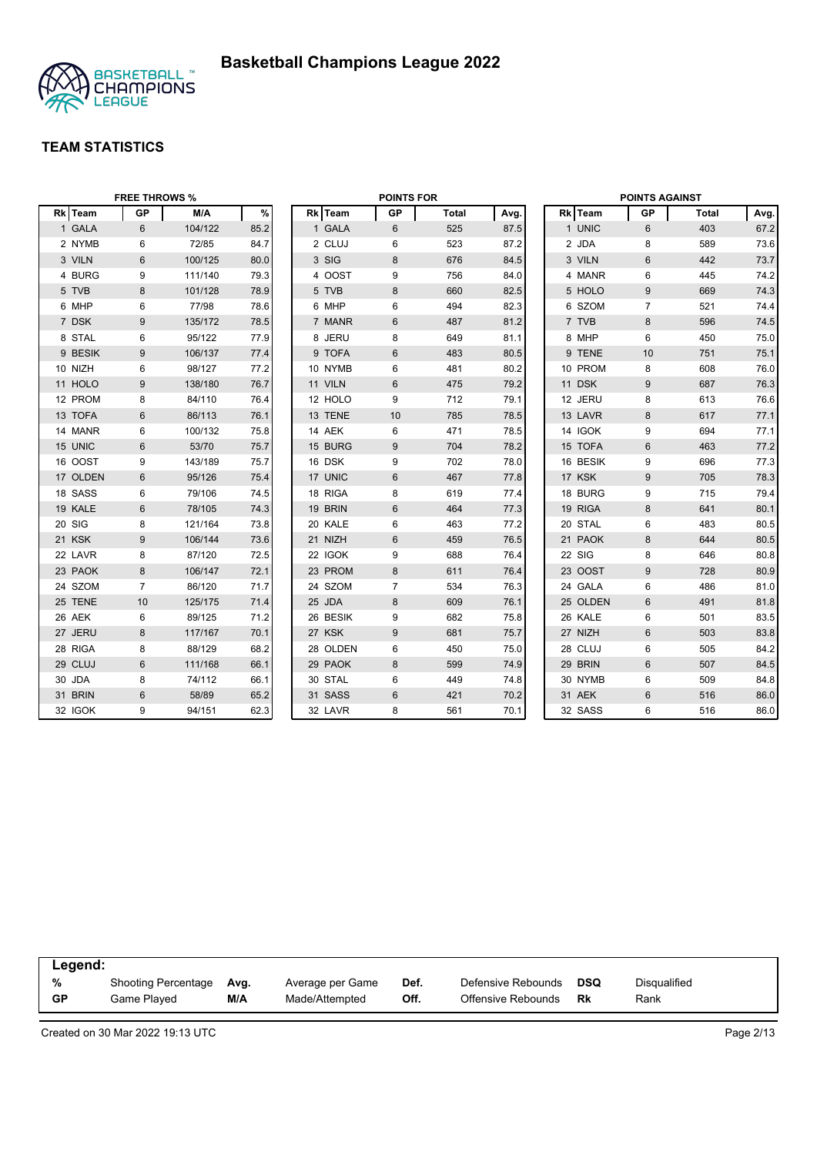

|          | <b>FREE THROWS %</b> |         |      |          | <b>POINTS FOR</b> |              |      |          | <b>POINTS AGAINST</b> |              |      |
|----------|----------------------|---------|------|----------|-------------------|--------------|------|----------|-----------------------|--------------|------|
| Rk Team  | <b>GP</b>            | M/A     | $\%$ | Rk Team  | <b>GP</b>         | <b>Total</b> | Avg. | Rk Team  | GP                    | <b>Total</b> | Avg. |
| 1 GALA   | 6                    | 104/122 | 85.2 | 1 GALA   | 6                 | 525          | 87.5 | 1 UNIC   | 6                     | 403          | 67.2 |
| 2 NYMB   | 6                    | 72/85   | 84.7 | 2 CLUJ   | 6                 | 523          | 87.2 | 2 JDA    | 8                     | 589          | 73.6 |
| 3 VILN   | 6                    | 100/125 | 80.0 | 3 SIG    | 8                 | 676          | 84.5 | 3 VILN   | 6                     | 442          | 73.7 |
| 4 BURG   | 9                    | 111/140 | 79.3 | 4 OOST   | 9                 | 756          | 84.0 | 4 MANR   | 6                     | 445          | 74.2 |
| 5 TVB    | 8                    | 101/128 | 78.9 | 5 TVB    | 8                 | 660          | 82.5 | 5 HOLO   | 9                     | 669          | 74.3 |
| 6 MHP    | 6                    | 77/98   | 78.6 | 6 MHP    | 6                 | 494          | 82.3 | 6 SZOM   | $\overline{7}$        | 521          | 74.4 |
| 7 DSK    | 9                    | 135/172 | 78.5 | 7 MANR   | 6                 | 487          | 81.2 | 7 TVB    | 8                     | 596          | 74.5 |
| 8 STAL   | 6                    | 95/122  | 77.9 | 8 JERU   | 8                 | 649          | 81.1 | 8 MHP    | 6                     | 450          | 75.0 |
| 9 BESIK  | 9                    | 106/137 | 77.4 | 9 TOFA   | 6                 | 483          | 80.5 | 9 TENE   | 10                    | 751          | 75.1 |
| 10 NIZH  | 6                    | 98/127  | 77.2 | 10 NYMB  | 6                 | 481          | 80.2 | 10 PROM  | 8                     | 608          | 76.0 |
| 11 HOLO  | 9                    | 138/180 | 76.7 | 11 VILN  | 6                 | 475          | 79.2 | 11 DSK   | 9                     | 687          | 76.3 |
| 12 PROM  | 8                    | 84/110  | 76.4 | 12 HOLO  | 9                 | 712          | 79.1 | 12 JERU  | 8                     | 613          | 76.6 |
| 13 TOFA  | 6                    | 86/113  | 76.1 | 13 TENE  | 10                | 785          | 78.5 | 13 LAVR  | $\boldsymbol{8}$      | 617          | 77.1 |
| 14 MANR  | 6                    | 100/132 | 75.8 | 14 AEK   | 6                 | 471          | 78.5 | 14 IGOK  | 9                     | 694          | 77.1 |
| 15 UNIC  | 6                    | 53/70   | 75.7 | 15 BURG  | 9                 | 704          | 78.2 | 15 TOFA  | $6\phantom{1}$        | 463          | 77.2 |
| 16 OOST  | 9                    | 143/189 | 75.7 | 16 DSK   | 9                 | 702          | 78.0 | 16 BESIK | 9                     | 696          | 77.3 |
| 17 OLDEN | 6                    | 95/126  | 75.4 | 17 UNIC  | 6                 | 467          | 77.8 | 17 KSK   | 9                     | 705          | 78.3 |
| 18 SASS  | 6                    | 79/106  | 74.5 | 18 RIGA  | 8                 | 619          | 77.4 | 18 BURG  | 9                     | 715          | 79.4 |
| 19 KALE  | 6                    | 78/105  | 74.3 | 19 BRIN  | 6                 | 464          | 77.3 | 19 RIGA  | 8                     | 641          | 80.1 |
| 20 SIG   | 8                    | 121/164 | 73.8 | 20 KALE  | 6                 | 463          | 77.2 | 20 STAL  | 6                     | 483          | 80.5 |
| 21 KSK   | 9                    | 106/144 | 73.6 | 21 NIZH  | 6                 | 459          | 76.5 | 21 PAOK  | 8                     | 644          | 80.5 |
| 22 LAVR  | 8                    | 87/120  | 72.5 | 22 IGOK  | 9                 | 688          | 76.4 | 22 SIG   | 8                     | 646          | 80.8 |
| 23 PAOK  | 8                    | 106/147 | 72.1 | 23 PROM  | 8                 | 611          | 76.4 | 23 OOST  | 9                     | 728          | 80.9 |
| 24 SZOM  | $\overline{7}$       | 86/120  | 71.7 | 24 SZOM  | $\overline{7}$    | 534          | 76.3 | 24 GALA  | 6                     | 486          | 81.0 |
| 25 TENE  | 10                   | 125/175 | 71.4 | 25 JDA   | 8                 | 609          | 76.1 | 25 OLDEN | $6\phantom{1}$        | 491          | 81.8 |
| 26 AEK   | 6                    | 89/125  | 71.2 | 26 BESIK | 9                 | 682          | 75.8 | 26 KALE  | 6                     | 501          | 83.5 |
| 27 JERU  | 8                    | 117/167 | 70.1 | 27 KSK   | 9                 | 681          | 75.7 | 27 NIZH  | 6                     | 503          | 83.8 |
| 28 RIGA  | 8                    | 88/129  | 68.2 | 28 OLDEN | 6                 | 450          | 75.0 | 28 CLUJ  | 6                     | 505          | 84.2 |
| 29 CLUJ  | 6                    | 111/168 | 66.1 | 29 PAOK  | 8                 | 599          | 74.9 | 29 BRIN  | 6                     | 507          | 84.5 |
| 30 JDA   | 8                    | 74/112  | 66.1 | 30 STAL  | 6                 | 449          | 74.8 | 30 NYMB  | 6                     | 509          | 84.8 |
| 31 BRIN  | $6\phantom{1}$       | 58/89   | 65.2 | 31 SASS  | 6                 | 421          | 70.2 | 31 AEK   | $6\phantom{1}$        | 516          | 86.0 |
| 32 IGOK  | 9                    | 94/151  | 62.3 | 32 LAVR  | 8                 | 561          | 70.1 | 32 SASS  | 6                     | 516          | 86.0 |

| Legend:   |                     |      |                  |      |                    |            |              |  |
|-----------|---------------------|------|------------------|------|--------------------|------------|--------------|--|
| %         | Shooting Percentage | Avg. | Average per Game | Def. | Defensive Rebounds | <b>DSQ</b> | Disqualified |  |
| <b>GP</b> | Game Played         | M/A  | Made/Attempted   | Off. | Offensive Rebounds | Rk         | Rank         |  |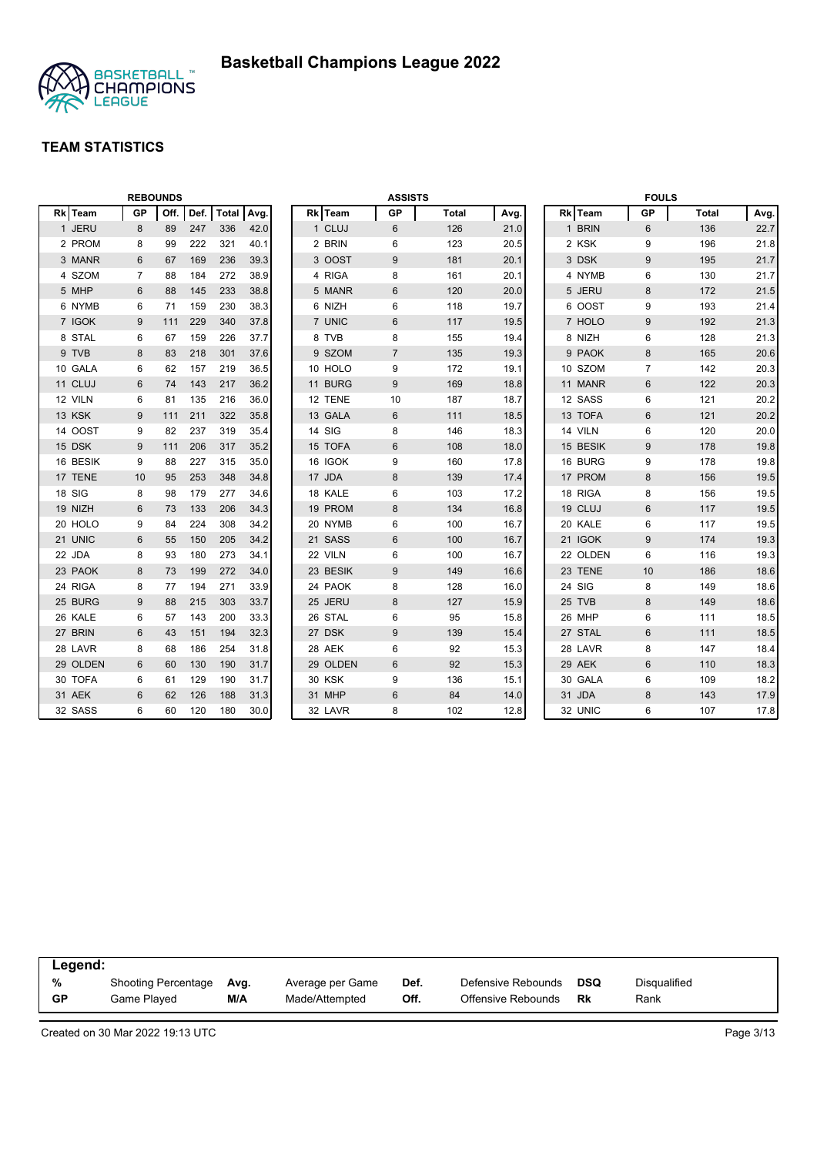

|          |           | <b>REBOUNDS</b> |      |              |      |               | <b>ASSISTS</b> |              |      |          | <b>FOULS</b>   |              |      |
|----------|-----------|-----------------|------|--------------|------|---------------|----------------|--------------|------|----------|----------------|--------------|------|
| Rk Team  | <b>GP</b> | Off.            | Def. | <b>Total</b> | Avg. | Rk Team       | <b>GP</b>      | <b>Total</b> | Avg. | Rk Team  | <b>GP</b>      | <b>Total</b> | Avg. |
| 1 JERU   | 8         | 89              | 247  | 336          | 42.0 | 1 CLUJ        | 6              | 126          | 21.0 | 1 BRIN   | 6              | 136          | 22.7 |
| 2 PROM   | 8         | 99              | 222  | 321          | 40.1 | 2 BRIN        | 6              | 123          | 20.5 | 2 KSK    | 9              | 196          | 21.8 |
| 3 MANR   | 6         | 67              | 169  | 236          | 39.3 | 3 OOST        | 9              | 181          | 20.1 | 3 DSK    | $9\,$          | 195          | 21.7 |
| 4 SZOM   | 7         | 88              | 184  | 272          | 38.9 | 4 RIGA        | 8              | 161          | 20.1 | 4 NYMB   | 6              | 130          | 21.7 |
| 5 MHP    | 6         | 88              | 145  | 233          | 38.8 | 5 MANR        | 6              | 120          | 20.0 | 5 JERU   | 8              | 172          | 21.5 |
| 6 NYMB   | 6         | 71              | 159  | 230          | 38.3 | 6 NIZH        | 6              | 118          | 19.7 | 6 OOST   | 9              | 193          | 21.4 |
| 7 IGOK   | 9         | 111             | 229  | 340          | 37.8 | 7 UNIC        | 6              | 117          | 19.5 | 7 HOLO   | 9              | 192          | 21.3 |
| 8 STAL   | 6         | 67              | 159  | 226          | 37.7 | 8 TVB         | 8              | 155          | 19.4 | 8 NIZH   | 6              | 128          | 21.3 |
| 9 TVB    | 8         | 83              | 218  | 301          | 37.6 | 9 SZOM        | $\overline{7}$ | 135          | 19.3 | 9 PAOK   | 8              | 165          | 20.6 |
| 10 GALA  | 6         | 62              | 157  | 219          | 36.5 | 10 HOLO       | 9              | 172          | 19.1 | 10 SZOM  | $\overline{7}$ | 142          | 20.3 |
| 11 CLUJ  | 6         | 74              | 143  | 217          | 36.2 | 11 BURG       | 9              | 169          | 18.8 | 11 MANR  | $6\phantom{1}$ | 122          | 20.3 |
| 12 VILN  | 6         | 81              | 135  | 216          | 36.0 | 12 TENE       | 10             | 187          | 18.7 | 12 SASS  | 6              | 121          | 20.2 |
| 13 KSK   | 9         | 111             | 211  | 322          | 35.8 | 13 GALA       | 6              | 111          | 18.5 | 13 TOFA  | $6\phantom{1}$ | 121          | 20.2 |
| 14 OOST  | 9         | 82              | 237  | 319          | 35.4 | 14 SIG        | 8              | 146          | 18.3 | 14 VILN  | 6              | 120          | 20.0 |
| 15 DSK   | 9         | 111             | 206  | 317          | 35.2 | 15 TOFA       | 6              | 108          | 18.0 | 15 BESIK | 9              | 178          | 19.8 |
| 16 BESIK | 9         | 88              | 227  | 315          | 35.0 | 16 IGOK       | 9              | 160          | 17.8 | 16 BURG  | 9              | 178          | 19.8 |
| 17 TENE  | 10        | 95              | 253  | 348          | 34.8 | 17 JDA        | 8              | 139          | 17.4 | 17 PROM  | 8              | 156          | 19.5 |
| 18 SIG   | 8         | 98              | 179  | 277          | 34.6 | 18 KALE       | 6              | 103          | 17.2 | 18 RIGA  | 8              | 156          | 19.5 |
| 19 NIZH  | 6         | 73              | 133  | 206          | 34.3 | 19 PROM       | 8              | 134          | 16.8 | 19 CLUJ  | 6              | 117          | 19.5 |
| 20 HOLO  | 9         | 84              | 224  | 308          | 34.2 | 20 NYMB       | 6              | 100          | 16.7 | 20 KALE  | 6              | 117          | 19.5 |
| 21 UNIC  | 6         | 55              | 150  | 205          | 34.2 | 21 SASS       | $6\phantom{1}$ | 100          | 16.7 | 21 IGOK  | 9              | 174          | 19.3 |
| 22 JDA   | 8         | 93              | 180  | 273          | 34.1 | 22 VILN       | 6              | 100          | 16.7 | 22 OLDEN | 6              | 116          | 19.3 |
| 23 PAOK  | 8         | 73              | 199  | 272          | 34.0 | 23 BESIK      | 9              | 149          | 16.6 | 23 TENE  | 10             | 186          | 18.6 |
| 24 RIGA  | 8         | 77              | 194  | 271          | 33.9 | 24 PAOK       | 8              | 128          | 16.0 | 24 SIG   | 8              | 149          | 18.6 |
| 25 BURG  | 9         | 88              | 215  | 303          | 33.7 | 25 JERU       | 8              | 127          | 15.9 | 25 TVB   | 8              | 149          | 18.6 |
| 26 KALE  | 6         | 57              | 143  | 200          | 33.3 | 26 STAL       | 6              | 95           | 15.8 | 26 MHP   | 6              | 111          | 18.5 |
| 27 BRIN  | 6         | 43              | 151  | 194          | 32.3 | 27 DSK        | 9              | 139          | 15.4 | 27 STAL  | 6              | 111          | 18.5 |
| 28 LAVR  | 8         | 68              | 186  | 254          | 31.8 | 28 AEK        | 6              | 92           | 15.3 | 28 LAVR  | 8              | 147          | 18.4 |
| 29 OLDEN | 6         | 60              | 130  | 190          | 31.7 | 29 OLDEN      | 6              | 92           | 15.3 | 29 AEK   | 6              | 110          | 18.3 |
| 30 TOFA  | 6         | 61              | 129  | 190          | 31.7 | <b>30 KSK</b> | 9              | 136          | 15.1 | 30 GALA  | 6              | 109          | 18.2 |
| 31 AEK   | 6         | 62              | 126  | 188          | 31.3 | 31 MHP        | 6              | 84           | 14.0 | 31 JDA   | 8              | 143          | 17.9 |
| 32 SASS  | 6         | 60              | 120  | 180          | 30.0 | 32 LAVR       | 8              | 102          | 12.8 | 32 UNIC  | 6              | 107          | 17.8 |

| Legend:   |                            |      |                  |      |                    |            |                     |
|-----------|----------------------------|------|------------------|------|--------------------|------------|---------------------|
| %         | <b>Shooting Percentage</b> | Ava. | Average per Game | Def. | Defensive Rebounds | <b>DSQ</b> | <b>Disqualified</b> |
| <b>GP</b> | Game Played                | M/A  | Made/Attempted   | Off. | Offensive Rebounds | Rk         | Rank                |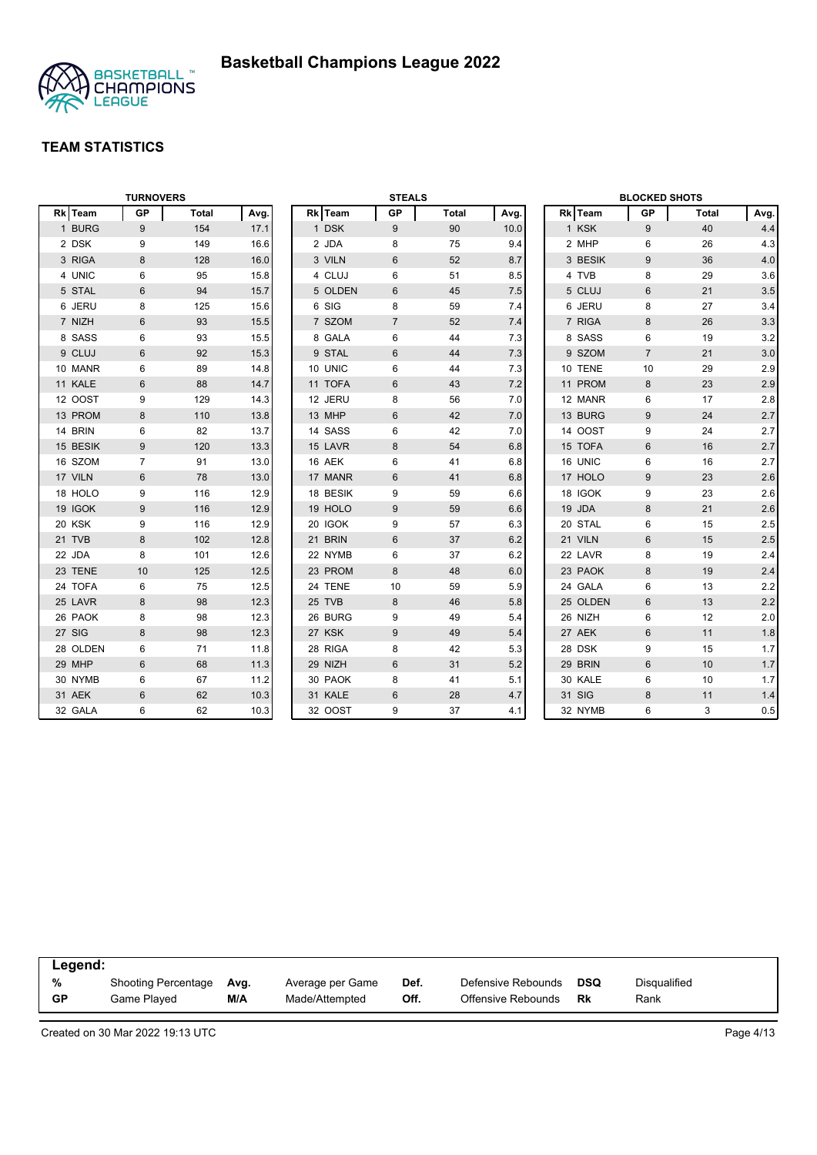

|          | <b>TURNOVERS</b> |              |      |          | <b>STEALS</b>  |              |      |          | <b>BLOCKED SHOTS</b> |       |         |
|----------|------------------|--------------|------|----------|----------------|--------------|------|----------|----------------------|-------|---------|
| Rk Team  | <b>GP</b>        | <b>Total</b> | Avg. | Rk Team  | GP             | <b>Total</b> | Avg. | Rk Team  | GP                   | Total | Avg.    |
| 1 BURG   | 9                | 154          | 17.1 | 1 DSK    | 9              | 90           | 10.0 | 1 KSK    | 9                    | 40    | 4.4     |
| 2 DSK    | 9                | 149          | 16.6 | 2 JDA    | 8              | 75           | 9.4  | 2 MHP    | 6                    | 26    | 4.3     |
| 3 RIGA   | 8                | 128          | 16.0 | 3 VILN   | 6              | 52           | 8.7  | 3 BESIK  | 9                    | 36    | 4.0     |
| 4 UNIC   | 6                | 95           | 15.8 | 4 CLUJ   | 6              | 51           | 8.5  | 4 TVB    | 8                    | 29    | 3.6     |
| 5 STAL   | 6                | 94           | 15.7 | 5 OLDEN  | 6              | 45           | 7.5  | 5 CLUJ   | 6                    | 21    | 3.5     |
| 6 JERU   | 8                | 125          | 15.6 | 6 SIG    | 8              | 59           | 7.4  | 6 JERU   | 8                    | 27    | 3.4     |
| 7 NIZH   | $6\phantom{1}$   | 93           | 15.5 | 7 SZOM   | $\overline{7}$ | 52           | 7.4  | 7 RIGA   | 8                    | 26    | 3.3     |
| 8 SASS   | 6                | 93           | 15.5 | 8 GALA   | 6              | 44           | 7.3  | 8 SASS   | 6                    | 19    | 3.2     |
| 9 CLUJ   | $6\phantom{1}$   | 92           | 15.3 | 9 STAL   | 6              | 44           | 7.3  | 9 SZOM   | $\overline{7}$       | 21    | 3.0     |
| 10 MANR  | 6                | 89           | 14.8 | 10 UNIC  | 6              | 44           | 7.3  | 10 TENE  | 10                   | 29    | 2.9     |
| 11 KALE  | $6\phantom{1}$   | 88           | 14.7 | 11 TOFA  | 6              | 43           | 7.2  | 11 PROM  | 8                    | 23    | 2.9     |
| 12 OOST  | 9                | 129          | 14.3 | 12 JERU  | 8              | 56           | 7.0  | 12 MANR  | 6                    | 17    | 2.8     |
| 13 PROM  | 8                | 110          | 13.8 | 13 MHP   | 6              | 42           | 7.0  | 13 BURG  | 9                    | 24    | 2.7     |
| 14 BRIN  | 6                | 82           | 13.7 | 14 SASS  | 6              | 42           | 7.0  | 14 OOST  | 9                    | 24    | 2.7     |
| 15 BESIK | 9                | 120          | 13.3 | 15 LAVR  | 8              | 54           | 6.8  | 15 TOFA  | $6\phantom{1}$       | 16    | 2.7     |
| 16 SZOM  | $\overline{7}$   | 91           | 13.0 | 16 AEK   | 6              | 41           | 6.8  | 16 UNIC  | 6                    | 16    | 2.7     |
| 17 VILN  | 6                | 78           | 13.0 | 17 MANR  | 6              | 41           | 6.8  | 17 HOLO  | 9                    | 23    | 2.6     |
| 18 HOLO  | 9                | 116          | 12.9 | 18 BESIK | 9              | 59           | 6.6  | 18 IGOK  | 9                    | 23    | 2.6     |
| 19 IGOK  | 9                | 116          | 12.9 | 19 HOLO  | 9              | 59           | 6.6  | 19 JDA   | 8                    | 21    | 2.6     |
| 20 KSK   | 9                | 116          | 12.9 | 20 IGOK  | 9              | 57           | 6.3  | 20 STAL  | 6                    | 15    | 2.5     |
| 21 TVB   | 8                | 102          | 12.8 | 21 BRIN  | 6              | 37           | 6.2  | 21 VILN  | 6                    | 15    | 2.5     |
| 22 JDA   | 8                | 101          | 12.6 | 22 NYMB  | 6              | 37           | 6.2  | 22 LAVR  | 8                    | 19    | 2.4     |
| 23 TENE  | 10               | 125          | 12.5 | 23 PROM  | 8              | 48           | 6.0  | 23 PAOK  | 8                    | 19    | 2.4     |
| 24 TOFA  | 6                | 75           | 12.5 | 24 TENE  | 10             | 59           | 5.9  | 24 GALA  | 6                    | 13    | 2.2     |
| 25 LAVR  | 8                | 98           | 12.3 | 25 TVB   | 8              | 46           | 5.8  | 25 OLDEN | $6\phantom{1}$       | 13    | 2.2     |
| 26 PAOK  | 8                | 98           | 12.3 | 26 BURG  | 9              | 49           | 5.4  | 26 NIZH  | 6                    | 12    | 2.0     |
| 27 SIG   | 8                | 98           | 12.3 | 27 KSK   | 9              | 49           | 5.4  | 27 AEK   | 6                    | 11    | 1.8     |
| 28 OLDEN | 6                | 71           | 11.8 | 28 RIGA  | 8              | 42           | 5.3  | 28 DSK   | 9                    | 15    | $1.7$   |
| 29 MHP   | 6                | 68           | 11.3 | 29 NIZH  | 6              | 31           | 5.2  | 29 BRIN  | $6\phantom{1}$       | 10    | 1.7     |
| 30 NYMB  | 6                | 67           | 11.2 | 30 PAOK  | 8              | 41           | 5.1  | 30 KALE  | 6                    | 10    | 1.7     |
| 31 AEK   | $6\phantom{1}$   | 62           | 10.3 | 31 KALE  | $6\,$          | 28           | 4.7  | 31 SIG   | 8                    | 11    | 1.4     |
| 32 GALA  | 6                | 62           | 10.3 | 32 OOST  | 9              | 37           | 4.1  | 32 NYMB  | 6                    | 3     | $0.5\,$ |

| Legend:   |                            |      |                  |      |                    |            |              |  |
|-----------|----------------------------|------|------------------|------|--------------------|------------|--------------|--|
| %         | <b>Shooting Percentage</b> | Avg. | Average per Game | Def. | Defensive Rebounds | <b>DSQ</b> | Disqualified |  |
| <b>GP</b> | Game Played                | M/A  | Made/Attempted   | Off. | Offensive Rebounds | Rk         | Rank         |  |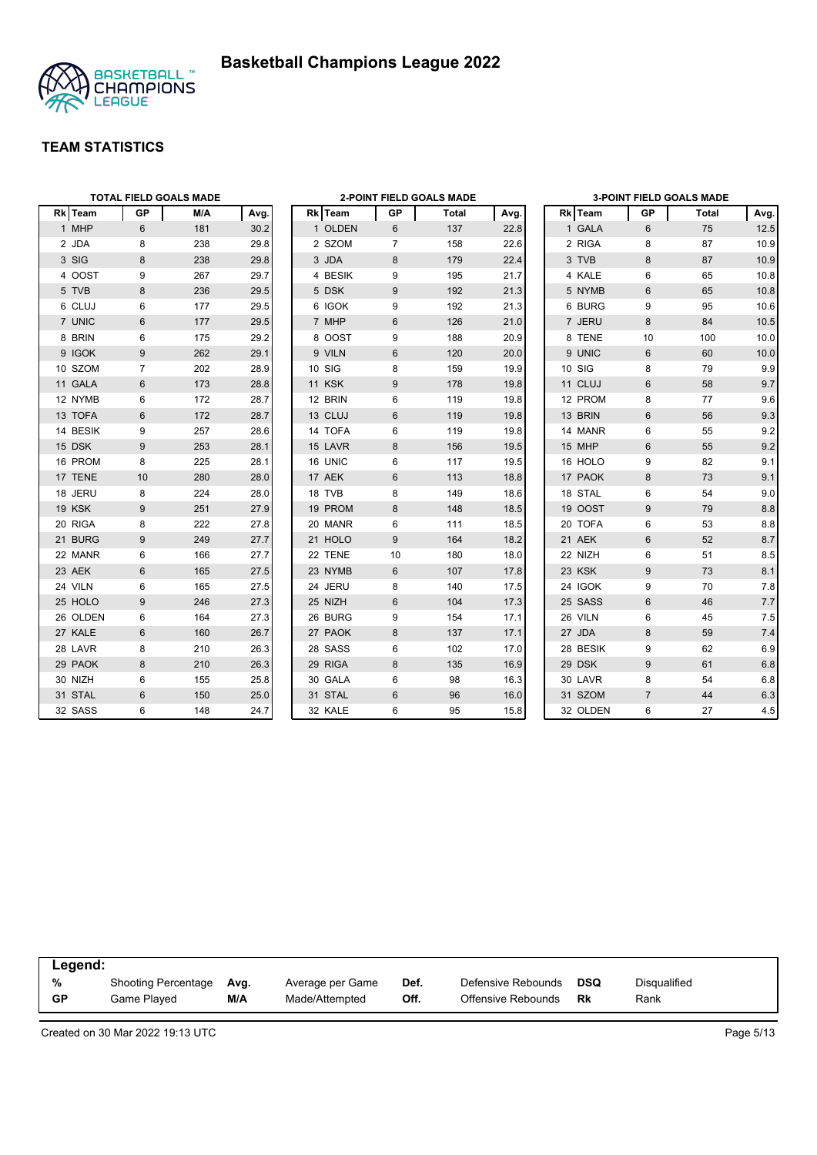



|          |                | <b>TOTAL FIELD GOALS MADE</b> |      |               |                | <b>2-POINT FIELD GOALS MADE</b> |      |          |                  | 3-POINT FIELD GOALS MADE |      |
|----------|----------------|-------------------------------|------|---------------|----------------|---------------------------------|------|----------|------------------|--------------------------|------|
| Rk Team  | GP             | M/A                           | Avg. | Rk Team       | GP             | Total                           | Avg. | Rk Team  | GP               | Total                    | Avg. |
| 1 MHP    | 6              | 181                           | 30.2 | 1 OLDEN       | 6              | 137                             | 22.8 | 1 GALA   | 6                | 75                       | 12.5 |
| 2 JDA    | 8              | 238                           | 29.8 | 2 SZOM        | $\overline{7}$ | 158                             | 22.6 | 2 RIGA   | 8                | 87                       | 10.9 |
| 3 SIG    | 8              | 238                           | 29.8 | 3 JDA         | 8              | 179                             | 22.4 | 3 TVB    | 8                | 87                       | 10.9 |
| 4 OOST   | 9              | 267                           | 29.7 | 4 BESIK       | 9              | 195                             | 21.7 | 4 KALE   | 6                | 65                       | 10.8 |
| 5 TVB    | 8              | 236                           | 29.5 | 5 DSK         | 9              | 192                             | 21.3 | 5 NYMB   | $6\phantom{1}$   | 65                       | 10.8 |
| 6 CLUJ   | 6              | 177                           | 29.5 | 6 IGOK        | 9              | 192                             | 21.3 | 6 BURG   | 9                | 95                       | 10.6 |
| 7 UNIC   | 6              | 177                           | 29.5 | 7 MHP         | 6              | 126                             | 21.0 | 7 JERU   | 8                | 84                       | 10.5 |
| 8 BRIN   | 6              | 175                           | 29.2 | 8 OOST        | 9              | 188                             | 20.9 | 8 TENE   | 10               | 100                      | 10.0 |
| 9 IGOK   | 9              | 262                           | 29.1 | 9 VILN        | 6              | 120                             | 20.0 | 9 UNIC   | $6\phantom{1}$   | 60                       | 10.0 |
| 10 SZOM  | $\overline{7}$ | 202                           | 28.9 | 10 SIG        | 8              | 159                             | 19.9 | 10 SIG   | 8                | 79                       | 9.9  |
| 11 GALA  | $6\phantom{1}$ | 173                           | 28.8 | <b>11 KSK</b> | 9              | 178                             | 19.8 | 11 CLUJ  | $6\phantom{1}$   | 58                       | 9.7  |
| 12 NYMB  | 6              | 172                           | 28.7 | 12 BRIN       | 6              | 119                             | 19.8 | 12 PROM  | 8                | 77                       | 9.6  |
| 13 TOFA  | 6              | 172                           | 28.7 | 13 CLUJ       | 6              | 119                             | 19.8 | 13 BRIN  | 6                | 56                       | 9.3  |
| 14 BESIK | 9              | 257                           | 28.6 | 14 TOFA       | 6              | 119                             | 19.8 | 14 MANR  | 6                | 55                       | 9.2  |
| 15 DSK   | 9              | 253                           | 28.1 | 15 LAVR       | 8              | 156                             | 19.5 | 15 MHP   | 6                | 55                       | 9.2  |
| 16 PROM  | 8              | 225                           | 28.1 | 16 UNIC       | 6              | 117                             | 19.5 | 16 HOLO  | 9                | 82                       | 9.1  |
| 17 TENE  | 10             | 280                           | 28.0 | 17 AEK        | 6              | 113                             | 18.8 | 17 PAOK  | 8                | 73                       | 9.1  |
| 18 JERU  | 8              | 224                           | 28.0 | 18 TVB        | 8              | 149                             | 18.6 | 18 STAL  | 6                | 54                       | 9.0  |
| 19 KSK   | 9              | 251                           | 27.9 | 19 PROM       | 8              | 148                             | 18.5 | 19 OOST  | 9                | 79                       | 8.8  |
| 20 RIGA  | 8              | 222                           | 27.8 | 20 MANR       | 6              | 111                             | 18.5 | 20 TOFA  | 6                | 53                       | 8.8  |
| 21 BURG  | 9              | 249                           | 27.7 | 21 HOLO       | 9              | 164                             | 18.2 | 21 AEK   | 6                | 52                       | 8.7  |
| 22 MANR  | 6              | 166                           | 27.7 | 22 TENE       | 10             | 180                             | 18.0 | 22 NIZH  | 6                | 51                       | 8.5  |
| 23 AEK   | $6\phantom{1}$ | 165                           | 27.5 | 23 NYMB       | 6              | 107                             | 17.8 | 23 KSK   | $\boldsymbol{9}$ | 73                       | 8.1  |
| 24 VILN  | 6              | 165                           | 27.5 | 24 JERU       | 8              | 140                             | 17.5 | 24 IGOK  | 9                | 70                       | 7.8  |
| 25 HOLO  | 9              | 246                           | 27.3 | 25 NIZH       | 6              | 104                             | 17.3 | 25 SASS  | $6\phantom{1}$   | 46                       | 7.7  |
| 26 OLDEN | 6              | 164                           | 27.3 | 26 BURG       | 9              | 154                             | 17.1 | 26 VILN  | $\,6$            | 45                       | 7.5  |
| 27 KALE  | 6              | 160                           | 26.7 | 27 PAOK       | 8              | 137                             | 17.1 | 27 JDA   | $\bf 8$          | 59                       | 7.4  |
| 28 LAVR  | 8              | 210                           | 26.3 | 28 SASS       | 6              | 102                             | 17.0 | 28 BESIK | 9                | 62                       | 6.9  |
| 29 PAOK  | 8              | 210                           | 26.3 | 29 RIGA       | 8              | 135                             | 16.9 | 29 DSK   | 9                | 61                       | 6.8  |
| 30 NIZH  | 6              | 155                           | 25.8 | 30 GALA       | 6              | 98                              | 16.3 | 30 LAVR  | 8                | 54                       | 6.8  |
| 31 STAL  | 6              | 150                           | 25.0 | 31 STAL       | 6              | 96                              | 16.0 | 31 SZOM  | $\overline{7}$   | 44                       | 6.3  |
| 32 SASS  | 6              | 148                           | 24.7 | 32 KALE       | 6              | 95                              | 15.8 | 32 OLDEN | 6                | 27                       | 4.5  |

| Legend:   |                            |      |                  |      |                    |            |              |
|-----------|----------------------------|------|------------------|------|--------------------|------------|--------------|
| %         | <b>Shooting Percentage</b> | Avg. | Average per Game | Def. | Defensive Rebounds | <b>DSQ</b> | Disqualified |
| <b>GP</b> | Game Played                | M/A  | Made/Attempted   | Off. | Offensive Rebounds | Rk         | Rank         |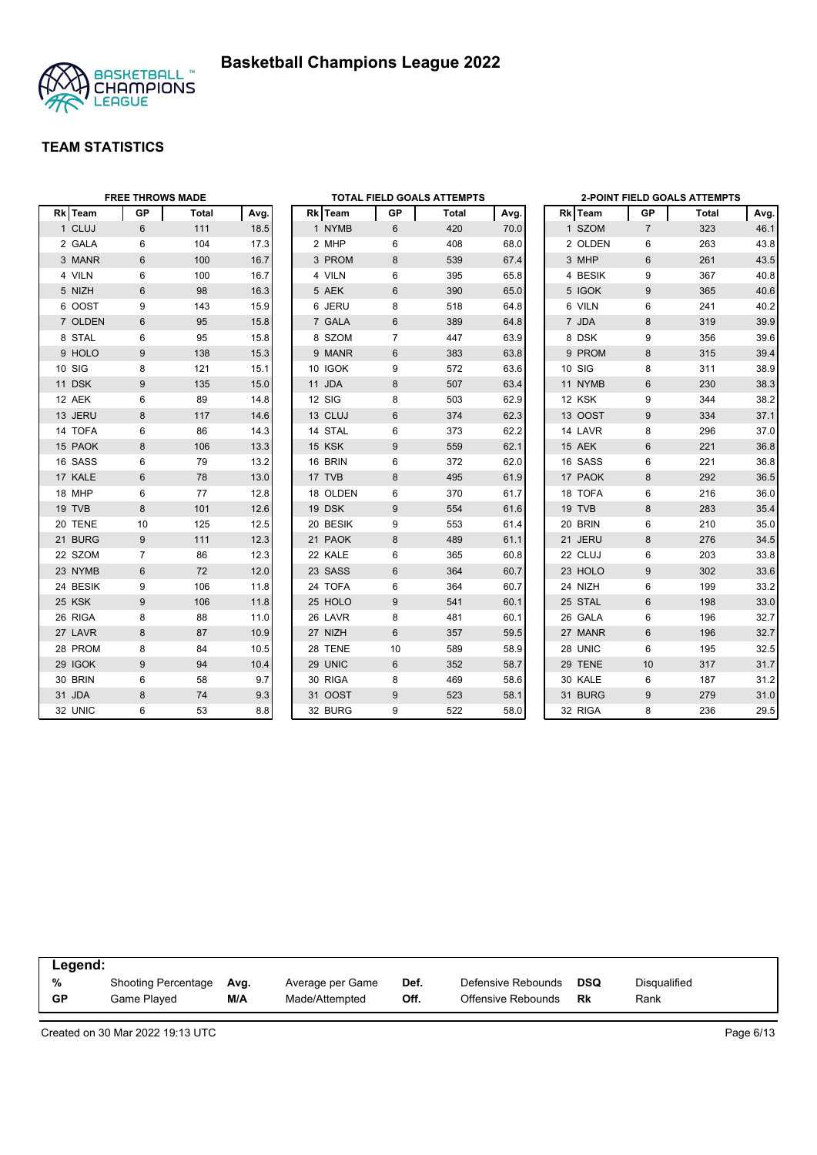



|          | <b>FREE THROWS MADE</b> |              |      |          |    | <b>TOTAL FIELD GOALS ATTEMPTS</b> |      |         |                | <b>2-POINT FIELD GOALS ATTEMPTS</b> |      |
|----------|-------------------------|--------------|------|----------|----|-----------------------------------|------|---------|----------------|-------------------------------------|------|
| Rk Team  | <b>GP</b>               | <b>Total</b> | Avg. | Rk Team  | GP | Total                             | Avg. | Rk Team | GP             | Total                               | Avg. |
| 1 CLUJ   | $6\phantom{1}$          | 111          | 18.5 | 1 NYMB   | 6  | 420                               | 70.0 | 1 SZOM  | $\overline{7}$ | 323                                 | 46.1 |
| 2 GALA   | 6                       | 104          | 17.3 | 2 MHP    | 6  | 408                               | 68.0 | 2 OLDEN | 6              | 263                                 | 43.8 |
| 3 MANR   | 6                       | 100          | 16.7 | 3 PROM   | 8  | 539                               | 67.4 | 3 MHP   | $\,6\,$        | 261                                 | 43.5 |
| 4 VILN   | 6                       | 100          | 16.7 | 4 VILN   | 6  | 395                               | 65.8 | 4 BESIK | 9              | 367                                 | 40.8 |
| 5 NIZH   | 6                       | 98           | 16.3 | 5 AEK    | 6  | 390                               | 65.0 | 5 IGOK  | 9              | 365                                 | 40.6 |
| 6 OOST   | 9                       | 143          | 15.9 | 6 JERU   | 8  | 518                               | 64.8 | 6 VILN  | 6              | 241                                 | 40.2 |
| 7 OLDEN  | $6\phantom{1}6$         | 95           | 15.8 | 7 GALA   | 6  | 389                               | 64.8 | 7 JDA   | $\bf 8$        | 319                                 | 39.9 |
| 8 STAL   | 6                       | 95           | 15.8 | 8 SZOM   | 7  | 447                               | 63.9 | 8 DSK   | 9              | 356                                 | 39.6 |
| 9 HOLO   | 9                       | 138          | 15.3 | 9 MANR   | 6  | 383                               | 63.8 | 9 PROM  | 8              | 315                                 | 39.4 |
| 10 SIG   | 8                       | 121          | 15.1 | 10 IGOK  | 9  | 572                               | 63.6 | 10 SIG  | 8              | 311                                 | 38.9 |
| 11 DSK   | 9                       | 135          | 15.0 | 11 JDA   | 8  | 507                               | 63.4 | 11 NYMB | $6\phantom{1}$ | 230                                 | 38.3 |
| 12 AEK   | 6                       | 89           | 14.8 | 12 SIG   | 8  | 503                               | 62.9 | 12 KSK  | 9              | 344                                 | 38.2 |
| 13 JERU  | 8                       | 117          | 14.6 | 13 CLUJ  | 6  | 374                               | 62.3 | 13 OOST | 9              | 334                                 | 37.1 |
| 14 TOFA  | 6                       | 86           | 14.3 | 14 STAL  | 6  | 373                               | 62.2 | 14 LAVR | 8              | 296                                 | 37.0 |
| 15 PAOK  | 8                       | 106          | 13.3 | 15 KSK   | 9  | 559                               | 62.1 | 15 AEK  | $6\phantom{1}$ | 221                                 | 36.8 |
| 16 SASS  | 6                       | 79           | 13.2 | 16 BRIN  | 6  | 372                               | 62.0 | 16 SASS | 6              | 221                                 | 36.8 |
| 17 KALE  | 6                       | 78           | 13.0 | 17 TVB   | 8  | 495                               | 61.9 | 17 PAOK | 8              | 292                                 | 36.5 |
| 18 MHP   | 6                       | 77           | 12.8 | 18 OLDEN | 6  | 370                               | 61.7 | 18 TOFA | 6              | 216                                 | 36.0 |
| 19 TVB   | 8                       | 101          | 12.6 | 19 DSK   | 9  | 554                               | 61.6 | 19 TVB  | 8              | 283                                 | 35.4 |
| 20 TENE  | 10                      | 125          | 12.5 | 20 BESIK | 9  | 553                               | 61.4 | 20 BRIN | 6              | 210                                 | 35.0 |
| 21 BURG  | 9                       | 111          | 12.3 | 21 PAOK  | 8  | 489                               | 61.1 | 21 JERU | 8              | 276                                 | 34.5 |
| 22 SZOM  | $\overline{7}$          | 86           | 12.3 | 22 KALE  | 6  | 365                               | 60.8 | 22 CLUJ | 6              | 203                                 | 33.8 |
| 23 NYMB  | 6                       | 72           | 12.0 | 23 SASS  | 6  | 364                               | 60.7 | 23 HOLO | 9              | 302                                 | 33.6 |
| 24 BESIK | 9                       | 106          | 11.8 | 24 TOFA  | 6  | 364                               | 60.7 | 24 NIZH | 6              | 199                                 | 33.2 |
| 25 KSK   | 9                       | 106          | 11.8 | 25 HOLO  | 9  | 541                               | 60.1 | 25 STAL | 6              | 198                                 | 33.0 |
| 26 RIGA  | 8                       | 88           | 11.0 | 26 LAVR  | 8  | 481                               | 60.1 | 26 GALA | 6              | 196                                 | 32.7 |
| 27 LAVR  | 8                       | 87           | 10.9 | 27 NIZH  | 6  | 357                               | 59.5 | 27 MANR | $6\phantom{1}$ | 196                                 | 32.7 |
| 28 PROM  | 8                       | 84           | 10.5 | 28 TENE  | 10 | 589                               | 58.9 | 28 UNIC | 6              | 195                                 | 32.5 |
| 29 IGOK  | 9                       | 94           | 10.4 | 29 UNIC  | 6  | 352                               | 58.7 | 29 TENE | 10             | 317                                 | 31.7 |
| 30 BRIN  | 6                       | 58           | 9.7  | 30 RIGA  | 8  | 469                               | 58.6 | 30 KALE | 6              | 187                                 | 31.2 |
| 31 JDA   | 8                       | 74           | 9.3  | 31 OOST  | 9  | 523                               | 58.1 | 31 BURG | $9\,$          | 279                                 | 31.0 |
| 32 UNIC  | 6                       | 53           | 8.8  | 32 BURG  | 9  | 522                               | 58.0 | 32 RIGA | 8              | 236                                 | 29.5 |

| Legend:   |                            |      |                  |      |                    |     |              |
|-----------|----------------------------|------|------------------|------|--------------------|-----|--------------|
| %         | <b>Shooting Percentage</b> | Ava. | Average per Game | Def. | Defensive Rebounds | DSQ | Disqualified |
| <b>GP</b> | Game Played                | M/A  | Made/Attempted   | Off. | Offensive Rebounds | Rk  | Rank         |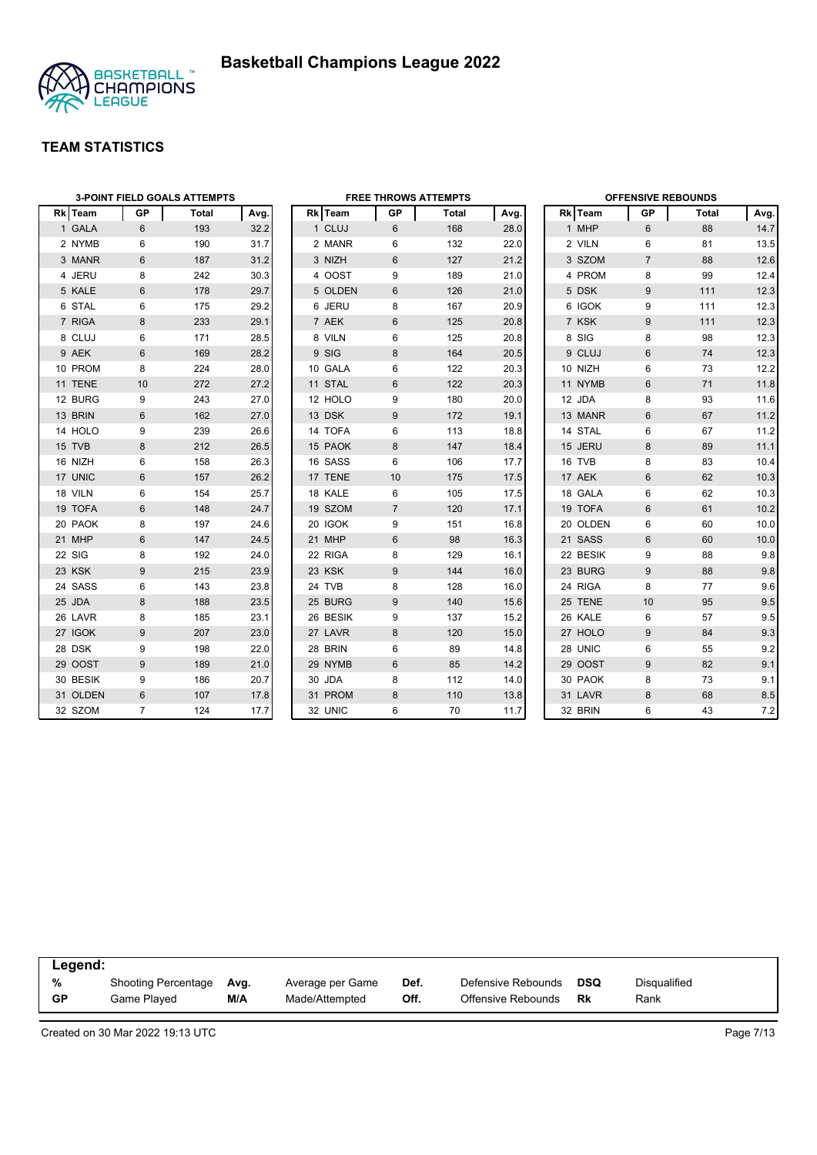

|          | <b>3-POINT FIELD GOALS ATTEMPTS</b> |       |      |  |          |                | <b>FREE THROWS ATTEMPTS</b> |      | <b>OFFENSIVE REBOUNDS</b> |                |       |      |
|----------|-------------------------------------|-------|------|--|----------|----------------|-----------------------------|------|---------------------------|----------------|-------|------|
| Rk Team  | <b>GP</b>                           | Total | Avg. |  | Rk Team  | GP             | Total                       | Avg. | Rk Team                   | <b>GP</b>      | Total | Avg. |
| 1 GALA   | 6                                   | 193   | 32.2 |  | 1 CLUJ   | 6              | 168                         | 28.0 | 1 MHP                     | 6              | 88    | 14.7 |
| 2 NYMB   | 6                                   | 190   | 31.7 |  | 2 MANR   | 6              | 132                         | 22.0 | 2 VILN                    | 6              | 81    | 13.5 |
| 3 MANR   | 6                                   | 187   | 31.2 |  | 3 NIZH   | 6              | 127                         | 21.2 | 3 SZOM                    | $\overline{7}$ | 88    | 12.6 |
| 4 JERU   | 8                                   | 242   | 30.3 |  | 4 OOST   | 9              | 189                         | 21.0 | 4 PROM                    | 8              | 99    | 12.4 |
| 5 KALE   | 6                                   | 178   | 29.7 |  | 5 OLDEN  | 6              | 126                         | 21.0 | 5 DSK                     | 9              | 111   | 12.3 |
| 6 STAL   | 6                                   | 175   | 29.2 |  | 6 JERU   | 8              | 167                         | 20.9 | 6 IGOK                    | 9              | 111   | 12.3 |
| 7 RIGA   | 8                                   | 233   | 29.1 |  | 7 AEK    | 6              | 125                         | 20.8 | 7 KSK                     | 9              | 111   | 12.3 |
| 8 CLUJ   | 6                                   | 171   | 28.5 |  | 8 VILN   | 6              | 125                         | 20.8 | 8 SIG                     | 8              | 98    | 12.3 |
| 9 AEK    | 6                                   | 169   | 28.2 |  | 9 SIG    | 8              | 164                         | 20.5 | 9 CLUJ                    | $6\phantom{1}$ | 74    | 12.3 |
| 10 PROM  | 8                                   | 224   | 28.0 |  | 10 GALA  | 6              | 122                         | 20.3 | 10 NIZH                   | 6              | 73    | 12.2 |
| 11 TENE  | 10                                  | 272   | 27.2 |  | 11 STAL  | 6              | 122                         | 20.3 | 11 NYMB                   | 6              | 71    | 11.8 |
| 12 BURG  | 9                                   | 243   | 27.0 |  | 12 HOLO  | 9              | 180                         | 20.0 | 12 JDA                    | 8              | 93    | 11.6 |
| 13 BRIN  | 6                                   | 162   | 27.0 |  | 13 DSK   | 9              | 172                         | 19.1 | 13 MANR                   | $6\phantom{1}$ | 67    | 11.2 |
| 14 HOLO  | 9                                   | 239   | 26.6 |  | 14 TOFA  | 6              | 113                         | 18.8 | 14 STAL                   | 6              | 67    | 11.2 |
| 15 TVB   | 8                                   | 212   | 26.5 |  | 15 PAOK  | 8              | 147                         | 18.4 | 15 JERU                   | 8              | 89    | 11.1 |
| 16 NIZH  | 6                                   | 158   | 26.3 |  | 16 SASS  | 6              | 106                         | 17.7 | 16 TVB                    | 8              | 83    | 10.4 |
| 17 UNIC  | 6                                   | 157   | 26.2 |  | 17 TENE  | 10             | 175                         | 17.5 | 17 AEK                    | 6              | 62    | 10.3 |
| 18 VILN  | 6                                   | 154   | 25.7 |  | 18 KALE  | 6              | 105                         | 17.5 | 18 GALA                   | 6              | 62    | 10.3 |
| 19 TOFA  | $6\phantom{1}6$                     | 148   | 24.7 |  | 19 SZOM  | $\overline{7}$ | 120                         | 17.1 | 19 TOFA                   | 6              | 61    | 10.2 |
| 20 PAOK  | 8                                   | 197   | 24.6 |  | 20 IGOK  | 9              | 151                         | 16.8 | 20 OLDEN                  | 6              | 60    | 10.0 |
| 21 MHP   | $6\phantom{1}6$                     | 147   | 24.5 |  | 21 MHP   | $6\phantom{1}$ | 98                          | 16.3 | 21 SASS                   | 6              | 60    | 10.0 |
| 22 SIG   | 8                                   | 192   | 24.0 |  | 22 RIGA  | 8              | 129                         | 16.1 | 22 BESIK                  | 9              | 88    | 9.8  |
| 23 KSK   | $9\,$                               | 215   | 23.9 |  | 23 KSK   | 9              | 144                         | 16.0 | 23 BURG                   | 9              | 88    | 9.8  |
| 24 SASS  | 6                                   | 143   | 23.8 |  | 24 TVB   | 8              | 128                         | 16.0 | 24 RIGA                   | 8              | 77    | 9.6  |
| 25 JDA   | 8                                   | 188   | 23.5 |  | 25 BURG  | 9              | 140                         | 15.6 | 25 TENE                   | 10             | 95    | 9.5  |
| 26 LAVR  | 8                                   | 185   | 23.1 |  | 26 BESIK | 9              | 137                         | 15.2 | 26 KALE                   | 6              | 57    | 9.5  |
| 27 IGOK  | 9                                   | 207   | 23.0 |  | 27 LAVR  | 8              | 120                         | 15.0 | 27 HOLO                   | 9              | 84    | 9.3  |
| 28 DSK   | 9                                   | 198   | 22.0 |  | 28 BRIN  | 6              | 89                          | 14.8 | 28 UNIC                   | 6              | 55    | 9.2  |
| 29 OOST  | 9                                   | 189   | 21.0 |  | 29 NYMB  | 6              | 85                          | 14.2 | 29 OOST                   | 9              | 82    | 9.1  |
| 30 BESIK | 9                                   | 186   | 20.7 |  | 30 JDA   | 8              | 112                         | 14.0 | 30 PAOK                   | 8              | 73    | 9.1  |
| 31 OLDEN | $6\phantom{1}6$                     | 107   | 17.8 |  | 31 PROM  | 8              | 110                         | 13.8 | 31 LAVR                   | 8              | 68    | 8.5  |
| 32 SZOM  | $\overline{7}$                      | 124   | 17.7 |  | 32 UNIC  | 6              | 70                          | 11.7 | 32 BRIN                   | 6              | 43    | 7.2  |

|           | Legend:             |      |                  |      |                    |            |              |  |  |  |  |
|-----------|---------------------|------|------------------|------|--------------------|------------|--------------|--|--|--|--|
| %         | Shooting Percentage | Avg. | Average per Game | Def. | Defensive Rebounds | <b>DSQ</b> | Disqualified |  |  |  |  |
| <b>GP</b> | Game Played         | M/A  | Made/Attempted   | Off. | Offensive Rebounds | Rk         | Rank         |  |  |  |  |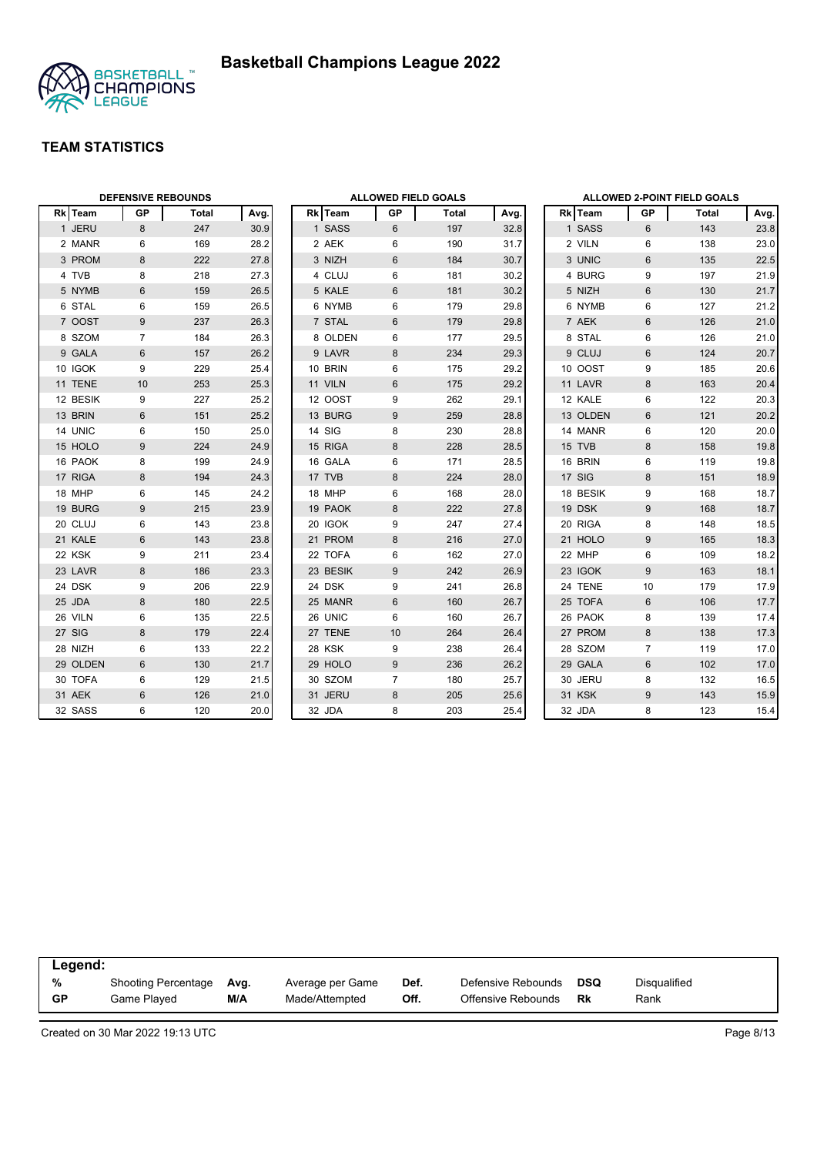



|          | <b>DEFENSIVE REBOUNDS</b> |       |      |  | <b>ALLOWED FIELD GOALS</b> |                |       |      |          | ALLOWED 2-POINT FIELD GOALS |       |      |
|----------|---------------------------|-------|------|--|----------------------------|----------------|-------|------|----------|-----------------------------|-------|------|
| Rk Team  | <b>GP</b>                 | Total | Avg. |  | Rk Team                    | GP             | Total | Avg. | Rk Team  | GP                          | Total | Avg. |
| 1 JERU   | 8                         | 247   | 30.9 |  | 1 SASS                     | 6              | 197   | 32.8 | 1 SASS   | 6                           | 143   | 23.8 |
| 2 MANR   | 6                         | 169   | 28.2 |  | 2 AEK                      | 6              | 190   | 31.7 | 2 VILN   | 6                           | 138   | 23.0 |
| 3 PROM   | 8                         | 222   | 27.8 |  | 3 NIZH                     | 6              | 184   | 30.7 | 3 UNIC   | 6                           | 135   | 22.5 |
| 4 TVB    | 8                         | 218   | 27.3 |  | 4 CLUJ                     | 6              | 181   | 30.2 | 4 BURG   | 9                           | 197   | 21.9 |
| 5 NYMB   | 6                         | 159   | 26.5 |  | 5 KALE                     | 6              | 181   | 30.2 | 5 NIZH   | 6                           | 130   | 21.7 |
| 6 STAL   | 6                         | 159   | 26.5 |  | 6 NYMB                     | 6              | 179   | 29.8 | 6 NYMB   | 6                           | 127   | 21.2 |
| 7 OOST   | 9                         | 237   | 26.3 |  | 7 STAL                     | $6\,$          | 179   | 29.8 | 7 AEK    | $6\phantom{1}$              | 126   | 21.0 |
| 8 SZOM   | $\overline{7}$            | 184   | 26.3 |  | 8 OLDEN                    | 6              | 177   | 29.5 | 8 STAL   | 6                           | 126   | 21.0 |
| 9 GALA   | $6\phantom{1}$            | 157   | 26.2 |  | 9 LAVR                     | 8              | 234   | 29.3 | 9 CLUJ   | $6\phantom{1}$              | 124   | 20.7 |
| 10 IGOK  | 9                         | 229   | 25.4 |  | 10 BRIN                    | 6              | 175   | 29.2 | 10 OOST  | 9                           | 185   | 20.6 |
| 11 TENE  | 10                        | 253   | 25.3 |  | 11 VILN                    | 6              | 175   | 29.2 | 11 LAVR  | 8                           | 163   | 20.4 |
| 12 BESIK | 9                         | 227   | 25.2 |  | 12 OOST                    | 9              | 262   | 29.1 | 12 KALE  | 6                           | 122   | 20.3 |
| 13 BRIN  | $6\phantom{1}$            | 151   | 25.2 |  | 13 BURG                    | 9              | 259   | 28.8 | 13 OLDEN | $6\phantom{1}$              | 121   | 20.2 |
| 14 UNIC  | 6                         | 150   | 25.0 |  | 14 SIG                     | 8              | 230   | 28.8 | 14 MANR  | 6                           | 120   | 20.0 |
| 15 HOLO  | 9                         | 224   | 24.9 |  | 15 RIGA                    | 8              | 228   | 28.5 | 15 TVB   | 8                           | 158   | 19.8 |
| 16 PAOK  | 8                         | 199   | 24.9 |  | 16 GALA                    | 6              | 171   | 28.5 | 16 BRIN  | 6                           | 119   | 19.8 |
| 17 RIGA  | 8                         | 194   | 24.3 |  | 17 TVB                     | 8              | 224   | 28.0 | 17 SIG   | 8                           | 151   | 18.9 |
| 18 MHP   | 6                         | 145   | 24.2 |  | 18 MHP                     | 6              | 168   | 28.0 | 18 BESIK | 9                           | 168   | 18.7 |
| 19 BURG  | 9                         | 215   | 23.9 |  | 19 PAOK                    | 8              | 222   | 27.8 | 19 DSK   | 9                           | 168   | 18.7 |
| 20 CLUJ  | 6                         | 143   | 23.8 |  | 20 IGOK                    | 9              | 247   | 27.4 | 20 RIGA  | 8                           | 148   | 18.5 |
| 21 KALE  | $6\phantom{1}$            | 143   | 23.8 |  | 21 PROM                    | 8              | 216   | 27.0 | 21 HOLO  | 9                           | 165   | 18.3 |
| 22 KSK   | 9                         | 211   | 23.4 |  | 22 TOFA                    | 6              | 162   | 27.0 | 22 MHP   | 6                           | 109   | 18.2 |
| 23 LAVR  | $\bf 8$                   | 186   | 23.3 |  | 23 BESIK                   | 9              | 242   | 26.9 | 23 IGOK  | $9\,$                       | 163   | 18.1 |
| 24 DSK   | 9                         | 206   | 22.9 |  | 24 DSK                     | 9              | 241   | 26.8 | 24 TENE  | 10                          | 179   | 17.9 |
| 25 JDA   | $\bf 8$                   | 180   | 22.5 |  | 25 MANR                    | 6              | 160   | 26.7 | 25 TOFA  | $6\phantom{1}$              | 106   | 17.7 |
| 26 VILN  | 6                         | 135   | 22.5 |  | 26 UNIC                    | 6              | 160   | 26.7 | 26 PAOK  | 8                           | 139   | 17.4 |
| 27 SIG   | 8                         | 179   | 22.4 |  | 27 TENE                    | 10             | 264   | 26.4 | 27 PROM  | 8                           | 138   | 17.3 |
| 28 NIZH  | 6                         | 133   | 22.2 |  | 28 KSK                     | 9              | 238   | 26.4 | 28 SZOM  | $\overline{7}$              | 119   | 17.0 |
| 29 OLDEN | 6                         | 130   | 21.7 |  | 29 HOLO                    | 9              | 236   | 26.2 | 29 GALA  | 6                           | 102   | 17.0 |
| 30 TOFA  | 6                         | 129   | 21.5 |  | 30 SZOM                    | $\overline{7}$ | 180   | 25.7 | 30 JERU  | 8                           | 132   | 16.5 |
| 31 AEK   | $6\phantom{1}$            | 126   | 21.0 |  | 31 JERU                    | 8              | 205   | 25.6 | 31 KSK   | $9\,$                       | 143   | 15.9 |
| 32 SASS  | 6                         | 120   | 20.0 |  | 32 JDA                     | 8              | 203   | 25.4 | 32 JDA   | 8                           | 123   | 15.4 |

|           | Legend:                    |      |                  |      |                    |            |              |  |  |  |  |
|-----------|----------------------------|------|------------------|------|--------------------|------------|--------------|--|--|--|--|
| %         | <b>Shooting Percentage</b> | Avg. | Average per Game | Def. | Defensive Rebounds | <b>DSQ</b> | Disqualified |  |  |  |  |
| <b>GP</b> | Game Played                | M/A  | Made/Attempted   | Off. | Offensive Rebounds | Rk         | Rank         |  |  |  |  |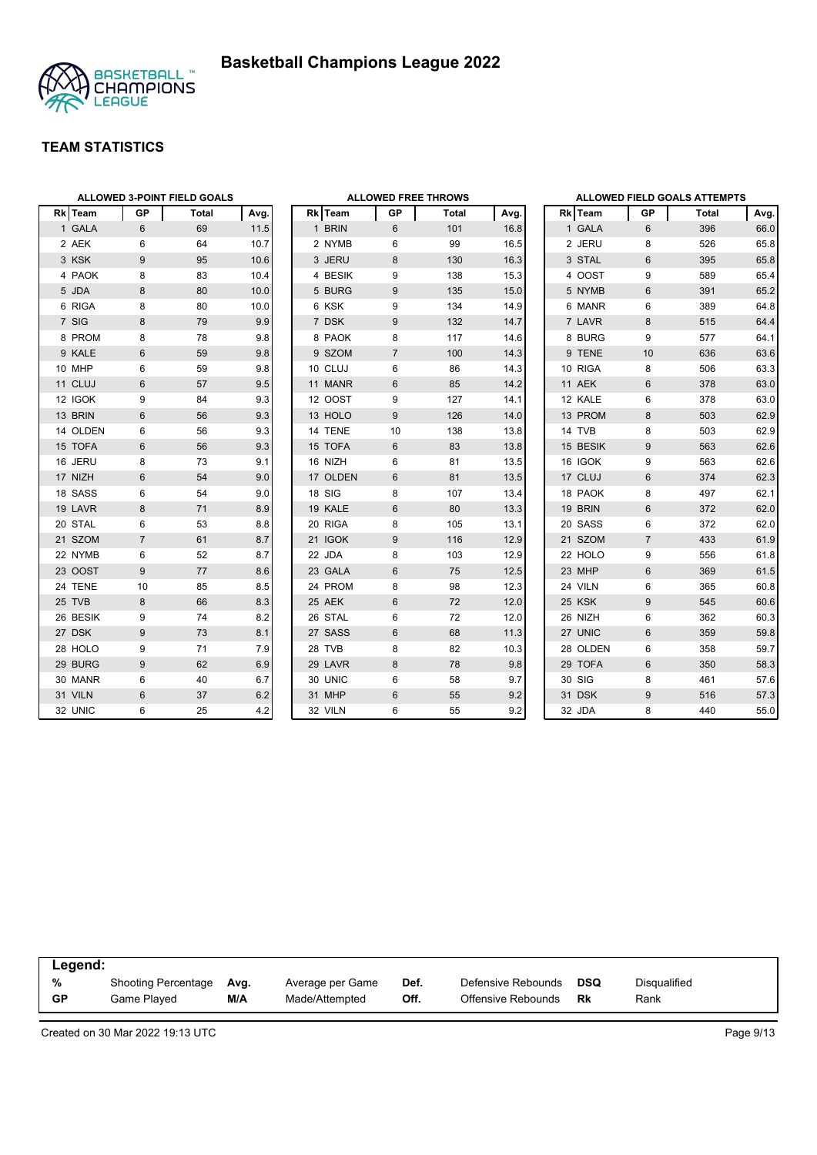

| <b>ALLOWED 3-POINT FIELD GOALS</b> |                  |              |      |          | <b>ALLOWED FREE THROWS</b> |       |      |                 |
|------------------------------------|------------------|--------------|------|----------|----------------------------|-------|------|-----------------|
| Rk Team                            | GP               | <b>Total</b> | Avg. | Rk Team  | GP                         | Total | Avg. | Rk              |
| 1 GALA                             | 6                | 69           | 11.5 | 1 BRIN   | 6                          | 101   | 16.8 | 1 <sup>1</sup>  |
| 2 AEK                              | 6                | 64           | 10.7 | 2 NYMB   | 6                          | 99    | 16.5 | 2,              |
| 3 KSK                              | 9                | 95           | 10.6 | 3 JERU   | 8                          | 130   | 16.3 | 3 <sup>3</sup>  |
| 4 PAOK                             | 8                | 83           | 10.4 | 4 BESIK  | 9                          | 138   | 15.3 | 4 (             |
| 5 JDA                              | 8                | 80           | 10.0 | 5 BURG   | 9                          | 135   | 15.0 | 5 <sub>1</sub>  |
| 6 RIGA                             | 8                | 80           | 10.0 | 6 KSK    | 9                          | 134   | 14.9 | 6 I             |
| 7 SIG                              | 8                | 79           | 9.9  | 7 DSK    | 9                          | 132   | 14.7 | 7 I             |
| 8 PROM                             | 8                | 78           | 9.8  | 8 PAOK   | 8                          | 117   | 14.6 | 8 I             |
| 9 KALE                             | 6                | 59           | 9.8  | 9 SZOM   | $\overline{7}$             | 100   | 14.3 | $9^{-}$         |
| 10 MHP                             | 6                | 59           | 9.8  | 10 CLUJ  | 6                          | 86    | 14.3 | 10 <sup>1</sup> |
| 11 CLUJ                            | $6\phantom{1}$   | 57           | 9.5  | 11 MANR  | 6                          | 85    | 14.2 | 11 <sub>1</sub> |
| 12 IGOK                            | 9                | 84           | 9.3  | 12 OOST  | 9                          | 127   | 14.1 | 12 <sub>1</sub> |
| 13 BRIN                            | 6                | 56           | 9.3  | 13 HOLO  | $9\,$                      | 126   | 14.0 | 13 <sup>1</sup> |
| 14 OLDEN                           | 6                | 56           | 9.3  | 14 TENE  | 10                         | 138   | 13.8 | 14              |
| 15 TOFA                            | $6\phantom{1}$   | 56           | 9.3  | 15 TOFA  | 6                          | 83    | 13.8 | 15 <sup>1</sup> |
| 16 JERU                            | 8                | 73           | 9.1  | 16 NIZH  | 6                          | 81    | 13.5 | 16 <sup>1</sup> |
| 17 NIZH                            | 6                | 54           | 9.0  | 17 OLDEN | 6                          | 81    | 13.5 | 17 <sub>0</sub> |
| 18 SASS                            | 6                | 54           | 9.0  | 18 SIG   | 8                          | 107   | 13.4 | 18 <sup>1</sup> |
| 19 LAVR                            | 8                | 71           | 8.9  | 19 KALE  | 6                          | 80    | 13.3 | 19 I            |
| 20 STAL                            | 6                | 53           | 8.8  | 20 RIGA  | 8                          | 105   | 13.1 | 20 <sup>°</sup> |
| 21 SZOM                            | $\overline{7}$   | 61           | 8.7  | 21 IGOK  | 9                          | 116   | 12.9 | 21:             |
| 22 NYMB                            | 6                | 52           | 8.7  | 22 JDA   | 8                          | 103   | 12.9 | 22 <sub>1</sub> |
| 23 OOST                            | $\boldsymbol{9}$ | 77           | 8.6  | 23 GALA  | 6                          | 75    | 12.5 | 23 I            |
| 24 TENE                            | 10               | 85           | 8.5  | 24 PROM  | 8                          | 98    | 12.3 | 24'             |
| 25 TVB                             | 8                | 66           | 8.3  | 25 AEK   | 6                          | 72    | 12.0 | 25 <sub>1</sub> |
| 26 BESIK                           | 9                | 74           | 8.2  | 26 STAL  | 6                          | 72    | 12.0 | 26 l            |
| 27 DSK                             | 9                | 73           | 8.1  | 27 SASS  | 6                          | 68    | 11.3 | 27 <sup>1</sup> |
| 28 HOLO                            | 9                | 71           | 7.9  | 28 TVB   | 8                          | 82    | 10.3 | 28 (            |
| 29 BURG                            | 9                | 62           | 6.9  | 29 LAVR  | 8                          | 78    | 9.8  | $29 -$          |
| 30 MANR                            | 6                | 40           | 6.7  | 30 UNIC  | 6                          | 58    | 9.7  | 30 <sup>°</sup> |
| 31 VILN                            | 6                | 37           | 6.2  | 31 MHP   | 6                          | 55    | 9.2  | 31              |
| 32 UNIC                            | 6                | 25           | 4.2  | 32 VILN  | 6                          | 55    | 9.2  | $32$ .          |

|              |             |                | <b>ALLOWED FIELD GOALS ATTEMPTS</b> |      |
|--------------|-------------|----------------|-------------------------------------|------|
| <b>Rk</b>    | <b>Team</b> | <b>GP</b>      | <b>Total</b>                        | Avg. |
| $\mathbf{1}$ | <b>GALA</b> | 6              | 396                                 | 66.0 |
|              | 2 JERU      | 8              | 526                                 | 65.8 |
|              | 3 STAL      | 6              | 395                                 | 65.8 |
| 4            | <b>OOST</b> | 9              | 589                                 | 65.4 |
|              | 5 NYMB      | 6              | 391                                 | 65.2 |
| 6            | <b>MANR</b> | 6              | 389                                 | 64.8 |
|              | 7 LAVR      | 8              | 515                                 | 64.4 |
|              | 8 BURG      | 9              | 577                                 | 64.1 |
|              | 9 TENE      | 10             | 636                                 | 63.6 |
|              | 10 RIGA     | 8              | 506                                 | 63.3 |
|              | 11 AEK      | 6              | 378                                 | 63.0 |
|              | 12 KALE     | 6              | 378                                 | 63.0 |
|              | 13 PROM     | 8              | 503                                 | 62.9 |
|              | 14 TVB      | 8              | 503                                 | 62.9 |
|              | 15 BESIK    | 9              | 563                                 | 62.6 |
|              | 16 IGOK     | 9              | 563                                 | 62.6 |
|              | 17 CLUJ     | 6              | 374                                 | 62.3 |
|              | 18 PAOK     | 8              | 497                                 | 62.1 |
|              | 19 BRIN     | 6              | 372                                 | 62.0 |
|              | 20 SASS     | 6              | 372                                 | 62.0 |
|              | 21 SZOM     | $\overline{7}$ | 433                                 | 61.9 |
|              | 22 HOLO     | 9              | 556                                 | 61.8 |
|              | 23 MHP      | 6              | 369                                 | 61.5 |
|              | 24 VILN     | 6              | 365                                 | 60.8 |
| 25           | <b>KSK</b>  | 9              | 545                                 | 60.6 |
| 26           | <b>NIZH</b> | 6              | 362                                 | 60.3 |
|              | 27 UNIC     | 6              | 359                                 | 59.8 |
|              | 28 OLDEN    | 6              | 358                                 | 59.7 |
|              | 29 TOFA     | 6              | 350                                 | 58.3 |
|              | 30 SIG      | 8              | 461                                 | 57.6 |
|              | 31 DSK      | 9              | 516                                 | 57.3 |
|              | 32 JDA      | 8              | 440                                 | 55.0 |

| Legend:   |                     |      |                  |      |                    |     |              |  |  |
|-----------|---------------------|------|------------------|------|--------------------|-----|--------------|--|--|
| %         | Shooting Percentage | Avg. | Average per Game | Def. | Defensive Rebounds | DSQ | Disgualified |  |  |
| <b>GP</b> | Game Plaved         | M/A  | Made/Attempted   | Off. | Offensive Rebounds | Rk  | Rank         |  |  |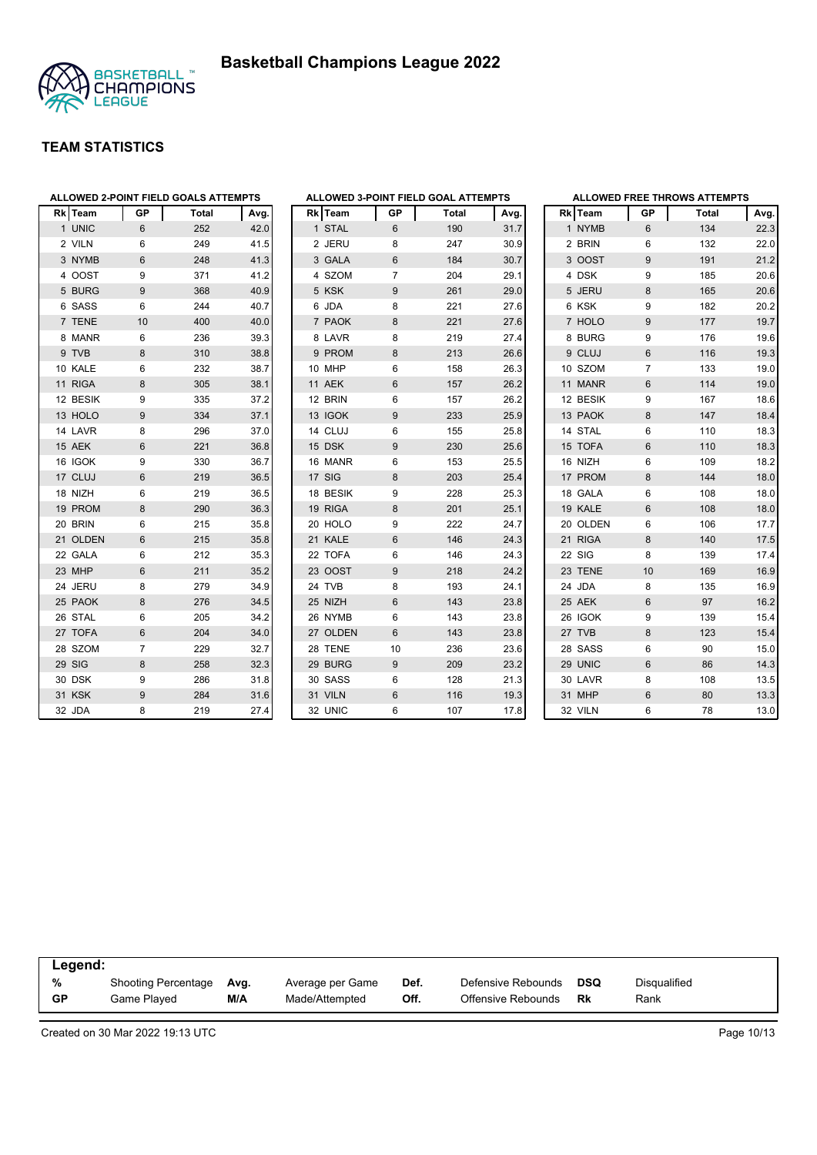



| <b>Rk</b> | <b>Team</b> | GP | Total | Avg. |
|-----------|-------------|----|-------|------|
|           | 1 UNIC      | 6  | 252   | 42.0 |
|           | 2 VILN      | 6  | 249   | 41.5 |
|           | 3 NYMB      | 6  | 248   | 41.3 |
|           | 4 OOST      | 9  | 371   | 41.2 |
|           | 5 BURG      | 9  | 368   | 40.9 |
|           | 6 SASS      | 6  | 244   | 40.7 |
|           | 7 TENE      | 10 | 400   | 40.0 |
|           | 8 MANR      | 6  | 236   | 39.3 |
|           | 9 TVB       | 8  | 310   | 38.8 |
|           | 10 KALE     | 6  | 232   | 38.7 |
|           | 11 RIGA     | 8  | 305   | 38.1 |
|           | 12 BESIK    | 9  | 335   | 37.2 |
|           | 13 HOLO     | 9  | 334   | 37.1 |
|           | 14 LAVR     | 8  | 296   | 37.0 |
|           | 15 AEK      | 6  | 221   | 36.8 |
|           | 16 IGOK     | 9  | 330   | 36.7 |
|           | 17 CLUJ     | 6  | 219   | 36.5 |
|           | 18 NIZH     | 6  | 219   | 36.5 |
|           | 19 PROM     | 8  | 290   | 36.3 |
|           | 20 BRIN     | 6  | 215   | 35.8 |
|           | 21 OLDEN    | 6  | 215   | 35.8 |
|           | 22 GALA     | 6  | 212   | 35.3 |
|           | 23 MHP      | 6  | 211   | 35.2 |
|           | 24 JERU     | 8  | 279   | 34.9 |
|           | 25 PAOK     | 8  | 276   | 34.5 |
|           | 26 STAL     | 6  | 205   | 34.2 |
|           | 27 TOFA     | 6  | 204   | 34.0 |
|           | 28 SZOM     | 7  | 229   | 32.7 |
|           | 29 SIG      | 8  | 258   | 32.3 |
|           | 30 DSK      | 9  | 286   | 31.8 |
|           | 31 KSK      | 9  | 284   | 31.6 |
|           | 32 JDA      | 8  | 219   | 27.4 |

|    |             |           | ALLOWED 3-POINT FIELD GOAL ATTEMPTS |      |
|----|-------------|-----------|-------------------------------------|------|
|    | Rk Team     | <b>GP</b> | <b>Total</b>                        | Avg. |
| 1  | <b>STAL</b> | 6         | 190                                 | 31.7 |
| 2  | <b>JERU</b> | 8         | 247                                 | 30.9 |
|    | 3 GALA      | 6         | 184                                 | 30.7 |
| 4  | <b>SZOM</b> | 7         | 204                                 | 29.1 |
| 5  | <b>KSK</b>  | 9         | 261                                 | 29.0 |
|    | 6 JDA       | 8         | 221                                 | 27.6 |
|    | 7 PAOK      | 8         | 221                                 | 27.6 |
|    | 8 LAVR      | 8         | 219                                 | 27.4 |
| 9  | <b>PROM</b> | 8         | 213                                 | 26.6 |
|    | 10 MHP      | 6         | 158                                 | 26.3 |
|    | 11 AEK      | 6         | 157                                 | 26.2 |
|    | 12 BRIN     | 6         | 157                                 | 26.2 |
|    | 13 IGOK     | 9         | 233                                 | 25.9 |
| 14 | <b>CLUJ</b> | 6         | 155                                 | 25.8 |
|    | 15 DSK      | 9         | 230                                 | 25.6 |
|    | 16 MANR     | 6         | 153                                 | 25.5 |
|    | 17 SIG      | 8         | 203                                 | 25.4 |
|    | 18 BESIK    | 9         | 228                                 | 25.3 |
|    | 19 RIGA     | 8         | 201                                 | 25.1 |
|    | 20 HOLO     | 9         | 222                                 | 24.7 |
|    | 21 KALE     | 6         | 146                                 | 24.3 |
|    | 22 TOFA     | 6         | 146                                 | 24.3 |
|    | 23 OOST     | 9         | 218                                 | 24.2 |
|    | 24 TVB      | 8         | 193                                 | 24.1 |
|    | 25 NIZH     | 6         | 143                                 | 23.8 |
|    | 26 NYMB     | 6         | 143                                 | 23.8 |
|    | 27 OLDEN    | 6         | 143                                 | 23.8 |
| 28 | <b>TENE</b> | 10        | 236                                 | 23.6 |
| 29 | <b>BURG</b> | 9         | 209                                 | 23.2 |
|    | 30 SASS     | 6         | 128                                 | 21.3 |
|    | 31 VILN     | 6         | 116                                 | 19.3 |
|    | 32 UNIC     | 6         | 107                                 | 17.8 |

|   |             |                | <b>ALLOWED FREE THROWS ATTEMPTS</b> |      |
|---|-------------|----------------|-------------------------------------|------|
|   | Rk Team     | GP             | <b>Total</b>                        | Avg. |
|   | 1 NYMB      | 6              | 134                                 | 22.3 |
|   | 2 BRIN      | 6              | 132                                 | 22.0 |
|   | 3 OOST      | 9              | 191                                 | 21.2 |
|   | 4 DSK       | 9              | 185                                 | 20.6 |
|   | 5 JERU      | 8              | 165                                 | 20.6 |
|   | 6 KSK       | 9              | 182                                 | 20.2 |
|   | 7 HOLO      | 9              | 177                                 | 19.7 |
| 8 | <b>BURG</b> | 9              | 176                                 | 19.6 |
|   | 9 CLUJ      | 6              | 116                                 | 19.3 |
|   | 10 SZOM     | $\overline{7}$ | 133                                 | 19.0 |
|   | 11 MANR     | 6              | 114                                 | 19.0 |
|   | 12 BESIK    | 9              | 167                                 | 18.6 |
|   | 13 PAOK     | 8              | 147                                 | 18.4 |
|   | 14 STAL     | 6              | 110                                 | 18.3 |
|   | 15 TOFA     | 6              | 110                                 | 18.3 |
|   | 16 NIZH     | 6              | 109                                 | 18.2 |
|   | 17 PROM     | 8              | 144                                 | 18.0 |
|   | 18 GALA     | 6              | 108                                 | 18.0 |
|   | 19 KALE     | 6              | 108                                 | 18.0 |
|   | 20 OLDEN    | 6              | 106                                 | 17.7 |
|   | 21 RIGA     | 8              | 140                                 | 17.5 |
|   | 22 SIG      | 8              | 139                                 | 17.4 |
|   | 23 TENE     | 10             | 169                                 | 16.9 |
|   | 24 JDA      | 8              | 135                                 | 16.9 |
|   | 25 AEK      | 6              | 97                                  | 16.2 |
|   | 26 IGOK     | 9              | 139                                 | 15.4 |
|   | 27 TVB      | 8              | 123                                 | 15.4 |
|   | 28 SASS     | 6              | 90                                  | 15.0 |
|   | 29 UNIC     | 6              | 86                                  | 14.3 |
|   | 30 LAVR     | 8              | 108                                 | 13.5 |
|   | 31 MHP      | 6              | 80                                  | 13.3 |
|   | 32 VILN     | 6              | 78                                  | 13.0 |

| Legend:   |                     |      |                  |      |                    |     |              |  |  |
|-----------|---------------------|------|------------------|------|--------------------|-----|--------------|--|--|
| %         | Shooting Percentage | Avg. | Average per Game | Def. | Defensive Rebounds | DSQ | Disgualified |  |  |
| <b>GP</b> | Game Plaved         | M/A  | Made/Attempted   | Off. | Offensive Rebounds | Rk  | Rank         |  |  |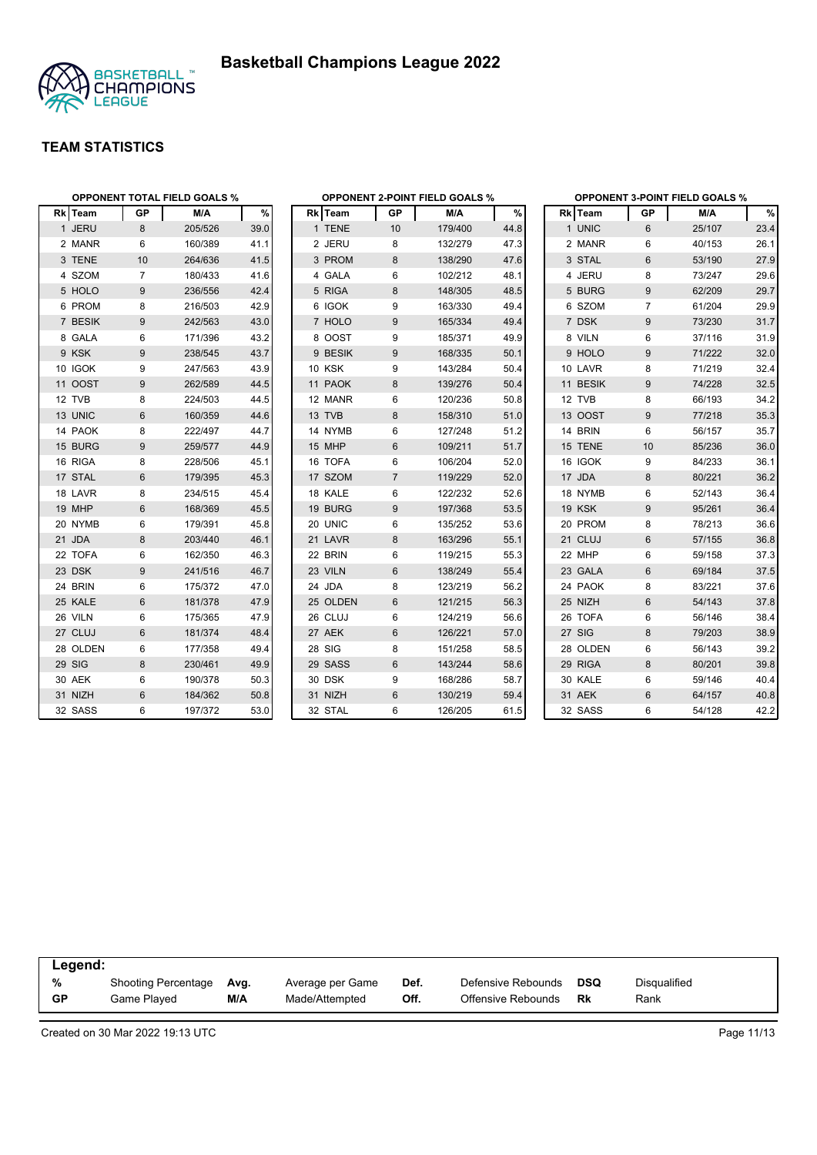

|          | <b>OPPONENT TOTAL FIELD GOALS %</b> |         |      |                |                | <b>OPPONENT 2-POINT FIELD GOALS %</b> |      | <b>OPPONENT 3-POINT FIELD GOALS %</b> |                |        |      |
|----------|-------------------------------------|---------|------|----------------|----------------|---------------------------------------|------|---------------------------------------|----------------|--------|------|
| Rk Team  | GP                                  | M/A     | %    | <b>Rk</b> Team | GP             | M/A                                   | $\%$ | Rk Team                               | GP             | M/A    | $\%$ |
| 1 JERU   | 8                                   | 205/526 | 39.0 | 1 TENE         | 10             | 179/400                               | 44.8 | 1 UNIC                                | 6              | 25/107 | 23.4 |
| 2 MANR   | 6                                   | 160/389 | 41.1 | 2 JERU         | 8              | 132/279                               | 47.3 | 2 MANR                                | 6              | 40/153 | 26.1 |
| 3 TENE   | 10                                  | 264/636 | 41.5 | 3 PROM         | 8              | 138/290                               | 47.6 | 3 STAL                                | $6\phantom{1}$ | 53/190 | 27.9 |
| 4 SZOM   | $\overline{7}$                      | 180/433 | 41.6 | 4 GALA         | 6              | 102/212                               | 48.1 | 4 JERU                                | 8              | 73/247 | 29.6 |
| 5 HOLO   | 9                                   | 236/556 | 42.4 | 5 RIGA         | 8              | 148/305                               | 48.5 | 5 BURG                                | 9              | 62/209 | 29.7 |
| 6 PROM   | 8                                   | 216/503 | 42.9 | 6 IGOK         | 9              | 163/330                               | 49.4 | 6 SZOM                                | $\overline{7}$ | 61/204 | 29.9 |
| 7 BESIK  | 9                                   | 242/563 | 43.0 | 7 HOLO         | 9              | 165/334                               | 49.4 | 7 DSK                                 | 9              | 73/230 | 31.7 |
| 8 GALA   | 6                                   | 171/396 | 43.2 | 8 OOST         | 9              | 185/371                               | 49.9 | 8 VILN                                | 6              | 37/116 | 31.9 |
| 9 KSK    | 9                                   | 238/545 | 43.7 | 9 BESIK        | 9              | 168/335                               | 50.1 | 9 HOLO                                | 9              | 71/222 | 32.0 |
| 10 IGOK  | 9                                   | 247/563 | 43.9 | 10 KSK         | 9              | 143/284                               | 50.4 | 10 LAVR                               | 8              | 71/219 | 32.4 |
| 11 OOST  | 9                                   | 262/589 | 44.5 | 11 PAOK        | 8              | 139/276                               | 50.4 | 11 BESIK                              | 9              | 74/228 | 32.5 |
| 12 TVB   | 8                                   | 224/503 | 44.5 | 12 MANR        | 6              | 120/236                               | 50.8 | 12 TVB                                | 8              | 66/193 | 34.2 |
| 13 UNIC  | 6                                   | 160/359 | 44.6 | 13 TVB         | 8              | 158/310                               | 51.0 | 13 OOST                               | 9              | 77/218 | 35.3 |
| 14 PAOK  | 8                                   | 222/497 | 44.7 | 14 NYMB        | 6              | 127/248                               | 51.2 | 14 BRIN                               | 6              | 56/157 | 35.7 |
| 15 BURG  | 9                                   | 259/577 | 44.9 | 15 MHP         | 6              | 109/211                               | 51.7 | 15 TENE                               | 10             | 85/236 | 36.0 |
| 16 RIGA  | 8                                   | 228/506 | 45.1 | 16 TOFA        | 6              | 106/204                               | 52.0 | 16 IGOK                               | 9              | 84/233 | 36.1 |
| 17 STAL  | 6                                   | 179/395 | 45.3 | 17 SZOM        | $\overline{7}$ | 119/229                               | 52.0 | 17 JDA                                | 8              | 80/221 | 36.2 |
| 18 LAVR  | 8                                   | 234/515 | 45.4 | 18 KALE        | 6              | 122/232                               | 52.6 | 18 NYMB                               | 6              | 52/143 | 36.4 |
| 19 MHP   | $6\phantom{1}$                      | 168/369 | 45.5 | 19 BURG        | 9              | 197/368                               | 53.5 | <b>19 KSK</b>                         | 9              | 95/261 | 36.4 |
| 20 NYMB  | 6                                   | 179/391 | 45.8 | 20 UNIC        | 6              | 135/252                               | 53.6 | 20 PROM                               | 8              | 78/213 | 36.6 |
| 21 JDA   | 8                                   | 203/440 | 46.1 | 21 LAVR        | 8              | 163/296                               | 55.1 | 21 CLUJ                               | $6\phantom{1}$ | 57/155 | 36.8 |
| 22 TOFA  | 6                                   | 162/350 | 46.3 | 22 BRIN        | 6              | 119/215                               | 55.3 | 22 MHP                                | 6              | 59/158 | 37.3 |
| 23 DSK   | 9                                   | 241/516 | 46.7 | 23 VILN        | 6              | 138/249                               | 55.4 | 23 GALA                               | 6              | 69/184 | 37.5 |
| 24 BRIN  | 6                                   | 175/372 | 47.0 | 24 JDA         | 8              | 123/219                               | 56.2 | 24 PAOK                               | 8              | 83/221 | 37.6 |
| 25 KALE  | 6                                   | 181/378 | 47.9 | 25 OLDEN       | 6              | 121/215                               | 56.3 | 25 NIZH                               | 6              | 54/143 | 37.8 |
| 26 VILN  | 6                                   | 175/365 | 47.9 | 26 CLUJ        | 6              | 124/219                               | 56.6 | 26 TOFA                               | 6              | 56/146 | 38.4 |
| 27 CLUJ  | 6                                   | 181/374 | 48.4 | 27 AEK         | 6              | 126/221                               | 57.0 | 27 SIG                                | 8              | 79/203 | 38.9 |
| 28 OLDEN | 6                                   | 177/358 | 49.4 | 28 SIG         | 8              | 151/258                               | 58.5 | 28 OLDEN                              | 6              | 56/143 | 39.2 |
| 29 SIG   | 8                                   | 230/461 | 49.9 | 29 SASS        | 6              | 143/244                               | 58.6 | 29 RIGA                               | 8              | 80/201 | 39.8 |
| 30 AEK   | 6                                   | 190/378 | 50.3 | 30 DSK         | 9              | 168/286                               | 58.7 | 30 KALE                               | 6              | 59/146 | 40.4 |
| 31 NIZH  | $\,6\,$                             | 184/362 | 50.8 | 31 NIZH        | 6              | 130/219                               | 59.4 | 31 AEK                                | 6              | 64/157 | 40.8 |
| 32 SASS  | 6                                   | 197/372 | 53.0 | 32 STAL        | 6              | 126/205                               | 61.5 | 32 SASS                               | 6              | 54/128 | 42.2 |

| Legend:   |                            |      |                  |      |                    |            |              |  |  |
|-----------|----------------------------|------|------------------|------|--------------------|------------|--------------|--|--|
| %         | <b>Shooting Percentage</b> | Avg. | Average per Game | Def. | Defensive Rebounds | <b>DSQ</b> | Disqualified |  |  |
| <b>GP</b> | Game Played                | M/A  | Made/Attempted   | Off. | Offensive Rebounds | Rk         | Rank         |  |  |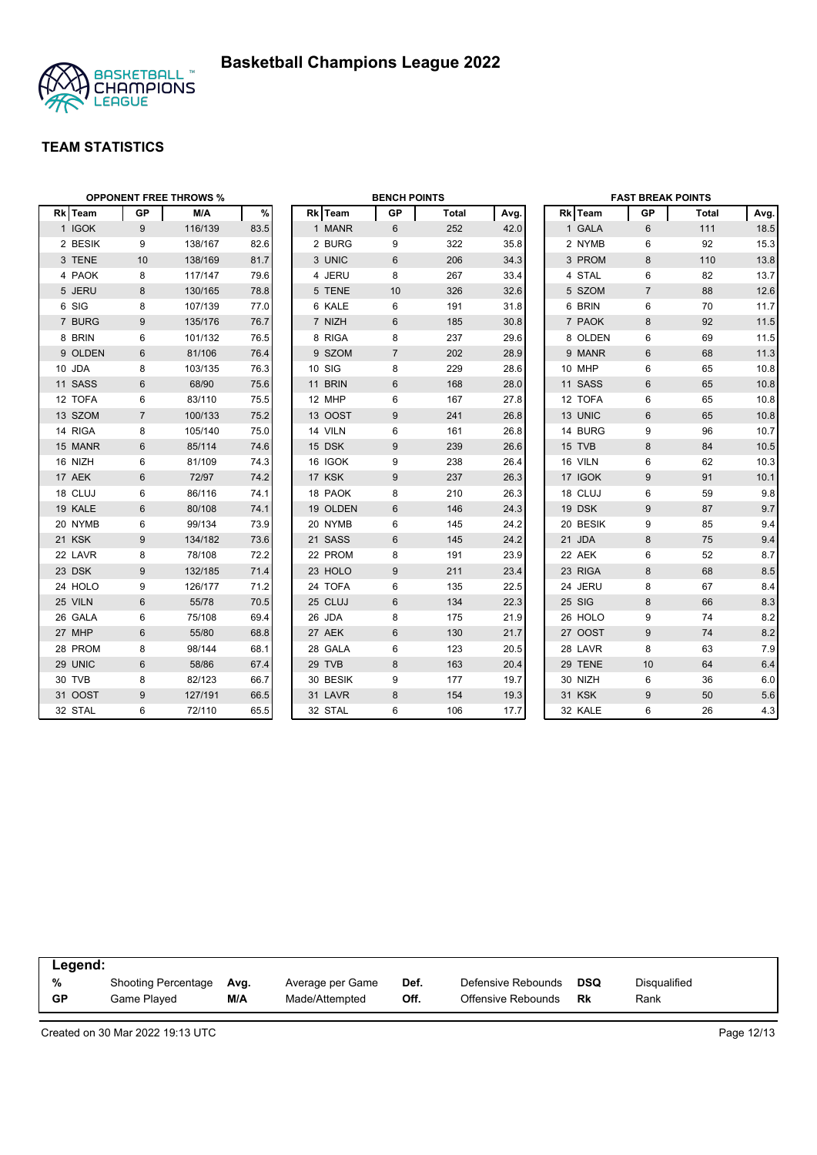



|        | <b>OPPONENT FREE THROWS %</b> |                |         |      | <b>BENCH POINTS</b> |          |                |              |      | <b>FAST BREAK POINTS</b> |          |                |              |      |
|--------|-------------------------------|----------------|---------|------|---------------------|----------|----------------|--------------|------|--------------------------|----------|----------------|--------------|------|
|        | Rk Team                       | <b>GP</b>      | M/A     | %    |                     | Rk Team  | <b>GP</b>      | <b>Total</b> | Avg. |                          | Rk Team  | GP             | <b>Total</b> | Avg. |
|        | 1 IGOK                        | 9              | 116/139 | 83.5 |                     | 1 MANR   | 6              | 252          | 42.0 |                          | 1 GALA   | 6              | 111          | 18.5 |
|        | 2 BESIK                       | 9              | 138/167 | 82.6 |                     | 2 BURG   | 9              | 322          | 35.8 |                          | 2 NYMB   | 6              | 92           | 15.3 |
|        | 3 TENE                        | 10             | 138/169 | 81.7 |                     | 3 UNIC   | 6              | 206          | 34.3 |                          | 3 PROM   | 8              | 110          | 13.8 |
|        | 4 PAOK                        | 8              | 117/147 | 79.6 |                     | 4 JERU   | 8              | 267          | 33.4 |                          | 4 STAL   | 6              | 82           | 13.7 |
|        | 5 JERU                        | 8              | 130/165 | 78.8 |                     | 5 TENE   | 10             | 326          | 32.6 |                          | 5 SZOM   | $\overline{7}$ | 88           | 12.6 |
|        | 6 SIG                         | 8              | 107/139 | 77.0 |                     | 6 KALE   | 6              | 191          | 31.8 |                          | 6 BRIN   | 6              | 70           | 11.7 |
|        | 7 BURG                        | 9              | 135/176 | 76.7 |                     | 7 NIZH   | 6              | 185          | 30.8 |                          | 7 PAOK   | 8              | 92           | 11.5 |
|        | 8 BRIN                        | 6              | 101/132 | 76.5 |                     | 8 RIGA   | 8              | 237          | 29.6 |                          | 8 OLDEN  | 6              | 69           | 11.5 |
|        | 9 OLDEN                       | 6              | 81/106  | 76.4 |                     | 9 SZOM   | $\overline{7}$ | 202          | 28.9 |                          | 9 MANR   | 6              | 68           | 11.3 |
| 10 JDA |                               | 8              | 103/135 | 76.3 |                     | 10 SIG   | 8              | 229          | 28.6 |                          | 10 MHP   | 6              | 65           | 10.8 |
|        | 11 SASS                       | 6              | 68/90   | 75.6 |                     | 11 BRIN  | 6              | 168          | 28.0 |                          | 11 SASS  | 6              | 65           | 10.8 |
|        | 12 TOFA                       | 6              | 83/110  | 75.5 |                     | 12 MHP   | 6              | 167          | 27.8 |                          | 12 TOFA  | 6              | 65           | 10.8 |
|        | 13 SZOM                       | $\overline{7}$ | 100/133 | 75.2 |                     | 13 OOST  | 9              | 241          | 26.8 |                          | 13 UNIC  | 6              | 65           | 10.8 |
|        | 14 RIGA                       | 8              | 105/140 | 75.0 |                     | 14 VILN  | 6              | 161          | 26.8 |                          | 14 BURG  | 9              | 96           | 10.7 |
|        | 15 MANR                       | 6              | 85/114  | 74.6 |                     | 15 DSK   | 9              | 239          | 26.6 |                          | 15 TVB   | 8              | 84           | 10.5 |
|        | 16 NIZH                       | 6              | 81/109  | 74.3 |                     | 16 IGOK  | 9              | 238          | 26.4 |                          | 16 VILN  | 6              | 62           | 10.3 |
|        | 17 AEK                        | 6              | 72/97   | 74.2 |                     | 17 KSK   | 9              | 237          | 26.3 |                          | 17 IGOK  | 9              | 91           | 10.1 |
|        | 18 CLUJ                       | 6              | 86/116  | 74.1 |                     | 18 PAOK  | 8              | 210          | 26.3 |                          | 18 CLUJ  | 6              | 59           | 9.8  |
|        | 19 KALE                       | 6              | 80/108  | 74.1 |                     | 19 OLDEN | 6              | 146          | 24.3 |                          | 19 DSK   | 9              | 87           | 9.7  |
|        | 20 NYMB                       | 6              | 99/134  | 73.9 |                     | 20 NYMB  | 6              | 145          | 24.2 |                          | 20 BESIK | 9              | 85           | 9.4  |
|        | 21 KSK                        | 9              | 134/182 | 73.6 |                     | 21 SASS  | 6              | 145          | 24.2 |                          | 21 JDA   | 8              | 75           | 9.4  |
|        | 22 LAVR                       | 8              | 78/108  | 72.2 |                     | 22 PROM  | 8              | 191          | 23.9 |                          | 22 AEK   | 6              | 52           | 8.7  |
|        | 23 DSK                        | 9              | 132/185 | 71.4 |                     | 23 HOLO  | 9              | 211          | 23.4 |                          | 23 RIGA  | 8              | 68           | 8.5  |
|        | 24 HOLO                       | 9              | 126/177 | 71.2 |                     | 24 TOFA  | 6              | 135          | 22.5 |                          | 24 JERU  | 8              | 67           | 8.4  |
|        | 25 VILN                       | 6              | 55/78   | 70.5 |                     | 25 CLUJ  | 6              | 134          | 22.3 |                          | 25 SIG   | 8              | 66           | 8.3  |
|        | 26 GALA                       | 6              | 75/108  | 69.4 |                     | 26 JDA   | 8              | 175          | 21.9 |                          | 26 HOLO  | 9              | 74           | 8.2  |
|        | 27 MHP                        | $6\phantom{1}$ | 55/80   | 68.8 |                     | 27 AEK   | $6\,$          | 130          | 21.7 |                          | 27 OOST  | 9              | 74           | 8.2  |
|        | 28 PROM                       | 8              | 98/144  | 68.1 |                     | 28 GALA  | 6              | 123          | 20.5 |                          | 28 LAVR  | 8              | 63           | 7.9  |
|        | 29 UNIC                       | 6              | 58/86   | 67.4 |                     | 29 TVB   | 8              | 163          | 20.4 |                          | 29 TENE  | 10             | 64           | 6.4  |
|        | 30 TVB                        | 8              | 82/123  | 66.7 |                     | 30 BESIK | 9              | 177          | 19.7 |                          | 30 NIZH  | 6              | 36           | 6.0  |
|        | 31 OOST                       | 9              | 127/191 | 66.5 |                     | 31 LAVR  | 8              | 154          | 19.3 |                          | 31 KSK   | 9              | 50           | 5.6  |
|        | 32 STAL                       | 6              | 72/110  | 65.5 |                     | 32 STAL  | 6              | 106          | 17.7 |                          | 32 KALE  | 6              | 26           | 4.3  |

| Legend:   |                            |      |                  |      |                    |     |              |  |  |
|-----------|----------------------------|------|------------------|------|--------------------|-----|--------------|--|--|
| %         | <b>Shooting Percentage</b> | Ava. | Average per Game | Def. | Defensive Rebounds | DSQ | Disqualified |  |  |
| <b>GP</b> | Game Played                | M/A  | Made/Attempted   | Off. | Offensive Rebounds | Rk  | Rank         |  |  |